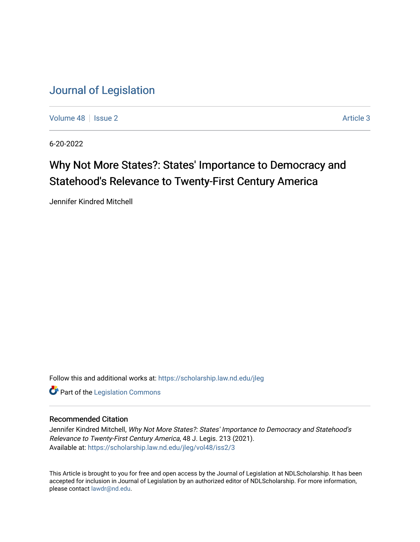[Volume 48](https://scholarship.law.nd.edu/jleg/vol48) | [Issue 2](https://scholarship.law.nd.edu/jleg/vol48/iss2) Article 3

6-20-2022

# Why Not More States?: States' Importance to Democracy and Statehood's Relevance to Twenty-First Century America

Jennifer Kindred Mitchell

Follow this and additional works at: [https://scholarship.law.nd.edu/jleg](https://scholarship.law.nd.edu/jleg?utm_source=scholarship.law.nd.edu%2Fjleg%2Fvol48%2Fiss2%2F3&utm_medium=PDF&utm_campaign=PDFCoverPages) 

**Part of the [Legislation Commons](https://network.bepress.com/hgg/discipline/859?utm_source=scholarship.law.nd.edu%2Fjleg%2Fvol48%2Fiss2%2F3&utm_medium=PDF&utm_campaign=PDFCoverPages)** 

## Recommended Citation

Jennifer Kindred Mitchell, Why Not More States?: States' Importance to Democracy and Statehood's Relevance to Twenty-First Century America, 48 J. Legis. 213 (2021). Available at: [https://scholarship.law.nd.edu/jleg/vol48/iss2/3](https://scholarship.law.nd.edu/jleg/vol48/iss2/3?utm_source=scholarship.law.nd.edu%2Fjleg%2Fvol48%2Fiss2%2F3&utm_medium=PDF&utm_campaign=PDFCoverPages) 

This Article is brought to you for free and open access by the Journal of Legislation at NDLScholarship. It has been accepted for inclusion in Journal of Legislation by an authorized editor of NDLScholarship. For more information, please contact [lawdr@nd.edu](mailto:lawdr@nd.edu).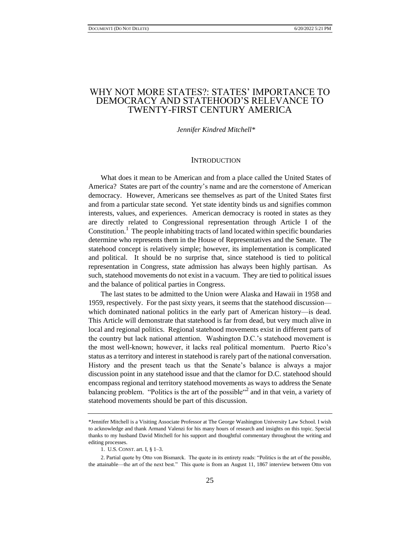# WHY NOT MORE STATES?: STATES' IMPORTANCE TO DEMOCRACY AND STATEHOOD'S RELEVANCE TO TWENTY-FIRST CENTURY AMERICA

#### *Jennifer Kindred Mitchell\**

#### **INTRODUCTION**

What does it mean to be American and from a place called the United States of America? States are part of the country's name and are the cornerstone of American democracy. However, Americans see themselves as part of the United States first and from a particular state second. Yet state identity binds us and signifies common interests, values, and experiences. American democracy is rooted in states as they are directly related to Congressional representation through Article I of the Constitution.<sup>1</sup> The people inhabiting tracts of land located within specific boundaries determine who represents them in the House of Representatives and the Senate. The statehood concept is relatively simple; however, its implementation is complicated and political. It should be no surprise that, since statehood is tied to political representation in Congress, state admission has always been highly partisan. As such, statehood movements do not exist in a vacuum. They are tied to political issues and the balance of political parties in Congress.

The last states to be admitted to the Union were Alaska and Hawaii in 1958 and 1959, respectively. For the past sixty years, it seems that the statehood discussion which dominated national politics in the early part of American history—is dead. This Article will demonstrate that statehood is far from dead, but very much alive in local and regional politics. Regional statehood movements exist in different parts of the country but lack national attention. Washington D.C.'s statehood movement is the most well-known; however, it lacks real political momentum. Puerto Rico's status as a territory and interest in statehood is rarely part of the national conversation. History and the present teach us that the Senate's balance is always a major discussion point in any statehood issue and that the clamor for D.C. statehood should encompass regional and territory statehood movements as ways to address the Senate balancing problem. "Politics is the art of the possible"<sup>2</sup> and in that vein, a variety of statehood movements should be part of this discussion.

<sup>\*</sup>Jennifer Mitchell is a Visiting Associate Professor at The George Washington University Law School. I wish to acknowledge and thank Armand Valenzi for his many hours of research and insights on this topic. Special thanks to my husband David Mitchell for his support and thoughtful commentary throughout the writing and editing processes.

<sup>1.</sup> U.S. CONST. art. I, § 1–3.

<sup>2.</sup> Partial quote by Otto von Bismarck. The quote in its entirety reads: "Politics is the art of the possible, the attainable—the art of the next best." This quote is from an August 11, 1867 interview between Otto von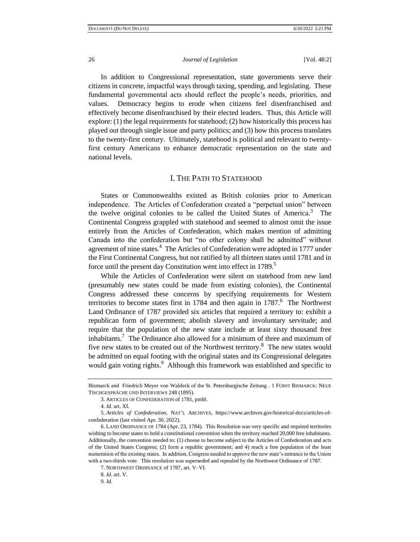In addition to Congressional representation, state governments serve their citizens in concrete, impactful ways through taxing, spending, and legislating. These fundamental governmental acts should reflect the people's needs, priorities, and values. Democracy begins to erode when citizens feel disenfranchised and effectively become disenfranchised by their elected leaders. Thus, this Article will explore: (1) the legal requirements for statehood; (2) how historically this process has played out through single issue and party politics; and (3) how this process translates to the twenty-first century. Ultimately, statehood is political and relevant to twentyfirst century Americans to enhance democratic representation on the state and national levels.

## I. THE PATH TO STATEHOOD

States or Commonwealths existed as British colonies prior to American independence. The Articles of Confederation created a "perpetual union" between the twelve original colonies to be called the United States of America.<sup>3</sup> The Continental Congress grappled with statehood and seemed to almost omit the issue entirely from the Articles of Confederation, which makes mention of admitting Canada into the confederation but "no other colony shall be admitted" without agreement of nine states.<sup>4</sup> The Articles of Confederation were adopted in 1777 under the First Continental Congress, but not ratified by all thirteen states until 1781 and in force until the present day Constitution went into effect in 1789.<sup>5</sup>

While the Articles of Confederation were silent on statehood from new land (presumably new states could be made from existing colonies), the Continental Congress addressed these concerns by specifying requirements for Western territories to become states first in 1784 and then again in  $1787$ .<sup>6</sup> The Northwest Land Ordinance of 1787 provided six articles that required a territory to: exhibit a republican form of government; abolish slavery and involuntary servitude; and require that the population of the new state include at least sixty thousand free inhabitants.<sup>7</sup> The Ordinance also allowed for a minimum of three and maximum of five new states to be created out of the Northwest territory.<sup>8</sup> The new states would be admitted on equal footing with the original states and its Congressional delegates would gain voting rights.<sup>9</sup> Although this framework was established and specific to

Bismarck and Friedrich Meyer von Waldeck of the St. Petersburgische Zeitung . 1 FÜRST BISMARCK: NEUE TISCHGESPRÄCHE UND INTERVIEWS 248 (1895).

<sup>3.</sup> ARTICLES OF CONFEDERATION of 1781, pmbl.

<sup>4</sup>*. Id.* art. XI.

<sup>5</sup>*. Articles of Confederation*, NAT'L ARCHIVES, https://www.archives.gov/historical-docs/articles-ofconfederation (last visited Apr. 30, 2022).

<sup>6.</sup> LAND ORDINANCE OF 1784 (Apr. 23, 1784). This Resolution was very specific and required territories wishing to become states to hold a constitutional convention when the territory reached 20,000 free inhabitants. Additionally, the convention needed to: (1) choose to become subject to the Articles of Confederation and acts of the United States Congress; (2) form a republic government; and 4) reach a free population of the least numeration of the existing states. In addition, Congress needed to approve the new state's entrance to the Union with a two-thirds vote. This resolution was superseded and repealed by the Northwest Ordinance of 1787.

<sup>7.</sup> NORTHWEST ORDINANCE of 1787, art. V–VI.

<sup>8</sup>*. Id.* art. V.

<sup>9</sup>*. Id.*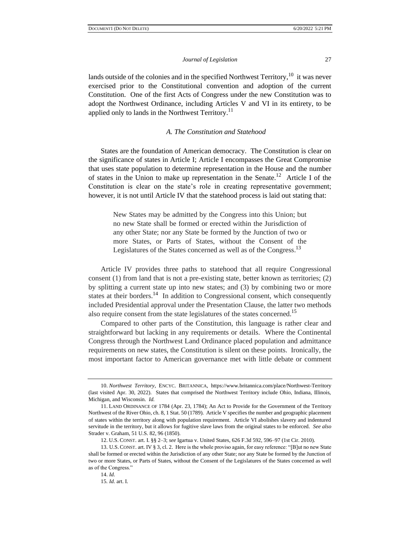lands outside of the colonies and in the specified Northwest Territory,  $10$  it was never exercised prior to the Constitutional convention and adoption of the current Constitution. One of the first Acts of Congress under the new Constitution was to adopt the Northwest Ordinance, including Articles V and VI in its entirety, to be applied only to lands in the Northwest Territory.<sup>11</sup>

#### *A. The Constitution and Statehood*

States are the foundation of American democracy. The Constitution is clear on the significance of states in Article I; Article I encompasses the Great Compromise that uses state population to determine representation in the House and the number of states in the Union to make up representation in the Senate.<sup>12</sup> Article I of the Constitution is clear on the state's role in creating representative government; however, it is not until Article IV that the statehood process is laid out stating that:

> New States may be admitted by the Congress into this Union; but no new State shall be formed or erected within the Jurisdiction of any other State; nor any State be formed by the Junction of two or more States, or Parts of States, without the Consent of the Legislatures of the States concerned as well as of the Congress.<sup>13</sup>

Article IV provides three paths to statehood that all require Congressional consent (1) from land that is not a pre-existing state, better known as territories; (2) by splitting a current state up into new states; and (3) by combining two or more states at their borders.<sup>14</sup> In addition to Congressional consent, which consequently included Presidential approval under the Presentation Clause, the latter two methods also require consent from the state legislatures of the states concerned.<sup>15</sup>

Compared to other parts of the Constitution, this language is rather clear and straightforward but lacking in any requirements or details. Where the Continental Congress through the Northwest Land Ordinance placed population and admittance requirements on new states, the Constitution is silent on these points. Ironically, the most important factor to American governance met with little debate or comment

<sup>10.</sup> *Northwest Territory*, ENCYC. BRITANNICA, https://www.britannica.com/place/Northwest-Territory (last visited Apr. 30, 2022). States that comprised the Northwest Territory include Ohio, Indiana, Illinois, Michigan, and Wisconsin. *Id.* 

<sup>11.</sup> LAND ORDINANCE OF 1784 (Apr. 23, 1784); An Act to Provide for the Government of the Territory Northwest of the River Ohio, ch. 8, 1 Stat. 50 (1789). Article V specifies the number and geographic placement of states within the territory along with population requirement. Article VI abolishes slavery and indentured servitude in the territory, but it allows for fugitive slave laws from the original states to be enforced. *See also* Strader v. Graham, 51 U.S. 82, 96 (1850).

<sup>12.</sup> U.S. CONST. art. I. §§ 2–3; *see* Igartua v. United States, 626 F.3d 592, 596–97 (1st Cir. 2010).

<sup>13.</sup> U.S. CONST. art. IV § 3, cl. 2. Here is the whole proviso again, for easy reference: "[B]ut no new State shall be formed or erected within the Jurisdiction of any other State; nor any State be formed by the Junction of two or more States, or Parts of States, without the Consent of the Legislatures of the States concerned as well as of the Congress."

<sup>14.</sup> *Id.* 

<sup>15</sup>*. Id.* art. I.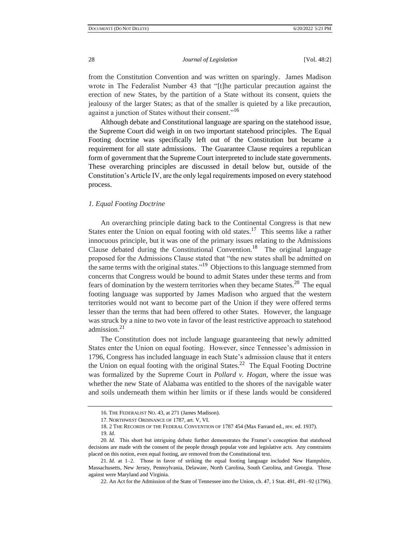from the Constitution Convention and was written on sparingly. James Madison wrote in The Federalist Number 43 that "[t]he particular precaution against the erection of new States, by the partition of a State without its consent, quiets the jealousy of the larger States; as that of the smaller is quieted by a like precaution, against a junction of States without their consent."<sup>16</sup>

Although debate and Constitutional language are sparing on the statehood issue, the Supreme Court did weigh in on two important statehood principles. The Equal Footing doctrine was specifically left out of the Constitution but became a requirement for all state admissions. The Guarantee Clause requires a republican form of government that the Supreme Court interpreted to include state governments. These overarching principles are discussed in detail below but, outside of the Constitution's Article IV, are the only legal requirements imposed on every statehood process.

#### *1. Equal Footing Doctrine*

An overarching principle dating back to the Continental Congress is that new States enter the Union on equal footing with old states.<sup>17</sup> This seems like a rather innocuous principle, but it was one of the primary issues relating to the Admissions Clause debated during the Constitutional Convention.<sup>18</sup> The original language proposed for the Admissions Clause stated that "the new states shall be admitted on the same terms with the original states."<sup>19</sup> Objections to this language stemmed from concerns that Congress would be bound to admit States under these terms and from fears of domination by the western territories when they became States.<sup>20</sup> The equal footing language was supported by James Madison who argued that the western territories would not want to become part of the Union if they were offered terms lesser than the terms that had been offered to other States. However, the language was struck by a nine to two vote in favor of the least restrictive approach to statehood admission.<sup>21</sup>

The Constitution does not include language guaranteeing that newly admitted States enter the Union on equal footing. However, since Tennessee's admission in 1796, Congress has included language in each State's admission clause that it enters the Union on equal footing with the original States.<sup>22</sup> The Equal Footing Doctrine was formalized by the Supreme Court in *Pollard v. Hogan*, where the issue was whether the new State of Alabama was entitled to the shores of the navigable water and soils underneath them within her limits or if these lands would be considered

<sup>16.</sup> THE FEDERALIST NO. 43, at 271 (James Madison).

<sup>17.</sup> NORTHWEST ORDINANCE OF 1787, art. V, VI.

<sup>18.</sup> 2 THE RECORDS OF THE FEDERAL CONVENTION OF 1787 454 (Max Farrand ed., rev. ed. 1937).

<sup>19</sup>*. Id.*

<sup>20</sup>*. Id.* This short but intriguing debate further demonstrates the Framer's conception that statehood decisions are made with the consent of the people through popular vote and legislative acts. Any constraints placed on this notion, even equal footing, are removed from the Constitutional text.

<sup>21</sup>*. Id.* at 1–2. Those in favor of striking the equal footing language included New Hampshire, Massachusetts, New Jersey, Pennsylvania, Delaware, North Carolina, South Carolina, and Georgia. Those against were Maryland and Virginia.

<sup>22.</sup> An Act for the Admission of the State of Tennessee into the Union, ch. 47, 1 Stat. 491, 491–92 (1796).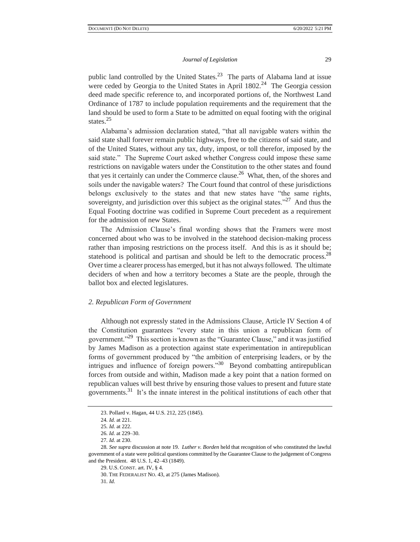public land controlled by the United States. $2<sup>3</sup>$  The parts of Alabama land at issue were ceded by Georgia to the United States in April  $1802<sup>24</sup>$  The Georgia cession deed made specific reference to, and incorporated portions of, the Northwest Land Ordinance of 1787 to include population requirements and the requirement that the land should be used to form a State to be admitted on equal footing with the original states.<sup>25</sup>

Alabama's admission declaration stated, "that all navigable waters within the said state shall forever remain public highways, free to the citizens of said state, and of the United States, without any tax, duty, impost, or toll therefor, imposed by the said state." The Supreme Court asked whether Congress could impose these same restrictions on navigable waters under the Constitution to the other states and found that yes it certainly can under the Commerce clause.<sup>26</sup> What, then, of the shores and soils under the navigable waters? The Court found that control of these jurisdictions belongs exclusively to the states and that new states have "the same rights, sovereignty, and jurisdiction over this subject as the original states."<sup>27</sup> And thus the Equal Footing doctrine was codified in Supreme Court precedent as a requirement for the admission of new States.

The Admission Clause's final wording shows that the Framers were most concerned about who was to be involved in the statehood decision-making process rather than imposing restrictions on the process itself. And this is as it should be; statehood is political and partisan and should be left to the democratic process.<sup>28</sup> Over time a clearer process has emerged, but it has not always followed. The ultimate deciders of when and how a territory becomes a State are the people, through the ballot box and elected legislatures.

## *2. Republican Form of Government*

Although not expressly stated in the Admissions Clause, Article IV Section 4 of the Constitution guarantees "every state in this union a republican form of government."<sup>29</sup> This section is known as the "Guarantee Clause," and it was justified by James Madison as a protection against state experimentation in antirepublican forms of government produced by "the ambition of enterprising leaders, or by the intrigues and influence of foreign powers."<sup>30</sup> Beyond combatting antirepublican forces from outside and within, Madison made a key point that a nation formed on republican values will best thrive by ensuring those values to present and future state governments.<sup>31</sup> It's the innate interest in the political institutions of each other that

<sup>23.</sup> Pollard v. Hagan, 44 U.S. 212, 225 (1845).

<sup>24</sup>*. Id.* at 221.

<sup>25</sup>*. Id.* at 222.

<sup>26</sup>*. Id.* at 229–30.

<sup>27</sup>*. Id.* at 230.

<sup>28</sup>*. See supra* discussion at note 19. *Luther v. Borden* held that recognition of who constituted the lawful government of a state were political questions committed by the Guarantee Clause to the judgement of Congress and the President. 48 U.S. 1, 42–43 (1849).

<sup>29.</sup> U.S. CONST. art. IV, § 4.

<sup>30.</sup> THE FEDERALIST NO. 43, at 275 (James Madison).

<sup>31</sup>*. Id.*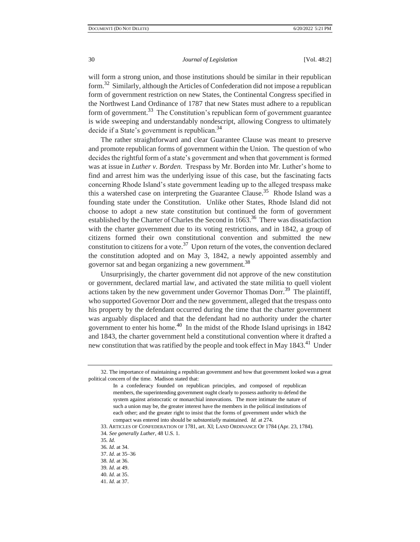will form a strong union, and those institutions should be similar in their republican form.<sup>32</sup> Similarly, although the Articles of Confederation did not impose a republican form of government restriction on new States, the Continental Congress specified in the Northwest Land Ordinance of 1787 that new States must adhere to a republican form of government.<sup>33</sup> The Constitution's republican form of government guarantee is wide sweeping and understandably nondescript, allowing Congress to ultimately decide if a State's government is republican.<sup>34</sup>

The rather straightforward and clear Guarantee Clause was meant to preserve and promote republican forms of government within the Union. The question of who decides the rightful form of a state's government and when that government is formed was at issue in *Luther v. Borden*. Trespass by Mr. Borden into Mr. Luther's home to find and arrest him was the underlying issue of this case, but the fascinating facts concerning Rhode Island's state government leading up to the alleged trespass make this a watershed case on interpreting the Guarantee Clause.<sup>35</sup> Rhode Island was a founding state under the Constitution. Unlike other States, Rhode Island did not choose to adopt a new state constitution but continued the form of government established by the Charter of Charles the Second in 1663.<sup>36</sup> There was dissatisfaction with the charter government due to its voting restrictions, and in 1842, a group of citizens formed their own constitutional convention and submitted the new constitution to citizens for a vote.<sup>37</sup> Upon return of the votes, the convention declared the constitution adopted and on May 3, 1842, a newly appointed assembly and governor sat and began organizing a new government.<sup>38</sup>

Unsurprisingly, the charter government did not approve of the new constitution or government, declared martial law, and activated the state militia to quell violent actions taken by the new government under Governor Thomas Dorr.<sup>39</sup> The plaintiff, who supported Governor Dorr and the new government, alleged that the trespass onto his property by the defendant occurred during the time that the charter government was arguably displaced and that the defendant had no authority under the charter government to enter his home.<sup>40</sup> In the midst of the Rhode Island uprisings in 1842 and 1843, the charter government held a constitutional convention where it drafted a new constitution that was ratified by the people and took effect in May 1843.<sup>41</sup> Under

<sup>32.</sup> The importance of maintaining a republican government and how that government looked was a great political concern of the time. Madison stated that:

In a confederacy founded on republican principles, and composed of republican members, the superintending government ought clearly to possess authority to defend the system against aristocratic or monarchial innovations. The more intimate the nature of such a union may be, the greater interest have the members in the political institutions of each other; and the greater right to insist that the forms of government under which the compact was entered into should be *substantially* maintained. *Id.* at 274.

<sup>33.</sup> ARTICLES OF CONFEDERATION OF 1781, art. XI; LAND ORDINANCE OF 1784 (Apr. 23, 1784). 34*. See generally Luther*, 48 U.S. 1.

<sup>35</sup>*. Id.*

<sup>36</sup>*. Id*. at 34.

<sup>37.</sup> *Id*. at 35–36

<sup>38</sup>*. Id*. at 36.

<sup>39</sup>*. Id*. at 49.

<sup>40</sup>*. Id.* at 35.

<sup>41.</sup> *Id.* at 37.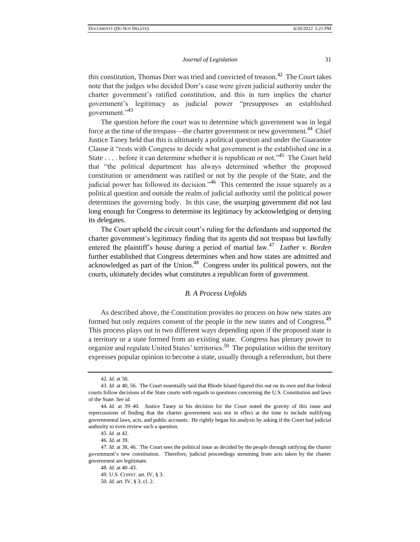this constitution, Thomas Dorr was tried and convicted of treason.<sup>42</sup> The Court takes note that the judges who decided Dorr's case were given judicial authority under the charter government's ratified constitution, and this in turn implies the charter government's legitimacy as judicial power "presupposes an established government."<sup>43</sup>

The question before the court was to determine which government was in legal force at the time of the trespass—the charter government or new government.<sup>44</sup> Chief Justice Taney held that this is ultimately a political question and under the Guarantee Clause it "rests with Congress to decide what government is the established one in a State . . . . before it can determine whether it is republican or not."<sup>45</sup> The Court held that "the political department has always determined whether the proposed constitution or amendment was ratified or not by the people of the State, and the judicial power has followed its decision."<sup>46</sup> This cemented the issue squarely as a political question and outside the realm of judicial authority until the political power determines the governing body. In this case, the usurping government did not last long enough for Congress to determine its legitimacy by acknowledging or denying its delegates.

The Court upheld the circuit court's ruling for the defendants and supported the charter government's legitimacy finding that its agents did not trespass but lawfully entered the plaintiff's house during a period of martial law.<sup>47</sup> *Luther v. Borden* further established that Congress determines when and how states are admitted and acknowledged as part of the Union.<sup>48</sup> Congress under its political powers, not the courts, ultimately decides what constitutes a republican form of government.

## *B. A Process Unfolds*

As described above, the Constitution provides no process on how new states are formed but only requires consent of the people in the new states and of Congress.<sup>49</sup> This process plays out in two different ways depending upon if the proposed state is a territory or a state formed from an existing state. Congress has plenary power to organize and regulate United States' territories.<sup>50</sup> The population within the territory expresses popular opinion to become a state, usually through a referendum, but there

<sup>42</sup>*. Id.* at 50.

<sup>43</sup>*. Id.* at 40, 56. The Court essentially said that Rhode Island figured this out on its own and that federal courts follow decisions of the State courts with regards to questions concerning the U.S. Constitution and laws of the State. *See id.* 

<sup>44</sup>*. Id*. at 39–40. Justice Taney in his decision for the Court noted the gravity of this issue and repercussions of finding that the charter government was not in effect at the time to include nullifying governmental laws, acts, and public accounts. He rightly began his analysis by asking if the Court had judicial authority to even review such a question.

<sup>45</sup>*. Id.* at 42.

<sup>46</sup>*. Id*. at 39.

<sup>47</sup>*. Id*. at 38, 46. The Court sees the political issue as decided by the people through ratifying the charter government's new constitution. Therefore, judicial proceedings stemming from acts taken by the charter government are legitimate.

<sup>48</sup>*. Id.* at 40–43.

<sup>49.</sup> U.S. CONST. art. IV, § 3.

<sup>50</sup>*. Id*. art. IV, § 3, cl. 2.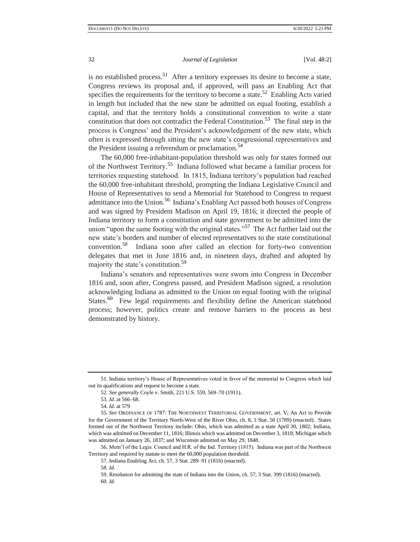is no established process.<sup>51</sup> After a territory expresses its desire to become a state, Congress reviews its proposal and, if approved, will pass an Enabling Act that specifies the requirements for the territory to become a state.<sup>52</sup> Enabling Acts varied in length but included that the new state be admitted on equal footing, establish a capital, and that the territory holds a constitutional convention to write a state constitution that does not contradict the Federal Constitution.<sup>53</sup> The final step in the process is Congress' and the President's acknowledgement of the new state, which often is expressed through sitting the new state's congressional representatives and the President issuing a referendum or proclamation.<sup>54</sup>

The 60,000 free-inhabitant-population threshold was only for states formed out of the Northwest Territory.<sup>55</sup> Indiana followed what became a familiar process for territories requesting statehood. In 1815, Indiana territory's population had reached the 60,000 free-inhabitant threshold, prompting the Indiana Legislative Council and House of Representatives to send a Memorial for Statehood to Congress to request admittance into the Union.<sup>56</sup> Indiana's Enabling Act passed both houses of Congress and was signed by President Madison on April 19, 1816; it directed the people of Indiana territory to form a constitution and state government to be admitted into the union "upon the same footing with the original states."<sup>57</sup> The Act further laid out the new state's borders and number of elected representatives to the state constitutional convention.<sup>58</sup> Indiana soon after called an election for forty-two convention delegates that met in June 1816 and, in nineteen days, drafted and adopted by majority the state's constitution.<sup>59</sup>

Indiana's senators and representatives were sworn into Congress in December 1816 and, soon after, Congress passed, and President Madison signed, a resolution acknowledging Indiana as admitted to the Union on equal footing with the original States.<sup>60</sup> Few legal requirements and flexibility define the American statehood process; however, politics create and remove barriers to the process as best demonstrated by history.

<sup>51.</sup> Indiana territory's House of Representatives voted in favor of the memorial to Congress which laid out its qualifications and request to become a state.

<sup>52.</sup> *See generally* Coyle v. Smith, 221 U.S. 559, 569–70 (1911).

<sup>53</sup>*. Id*. at 566–68.

<sup>54.</sup> *Id*. at 579

<sup>55</sup>*. See* ORDINANCE OF 1787: THE NORTHWEST TERRITORIAL GOVERNMENT, art. V; An Act to Provide for the Government of the Territory North-West of the River Ohio, ch. 8, 1 Stat. 50 (1789) (enacted). States formed out of the Northwest Territory include: Ohio, which was admitted as a state April 30, 1802; Indiana, which was admitted on December 11, 1816; Illinois which was admitted on December 3, 1818; Michigan which was admitted on January 26, 1837; and Wisconsin admitted on May 29, 1848.

<sup>56.</sup> Mem'l of the Legis. Council and H.R. of the Ind. Territory (1815). Indiana was part of the Northwest Territory and required by statute to meet the 60,000 population threshold.

<sup>57.</sup> Indiana Enabling Act, ch. 57, 3 Stat. 289–91 (1816) (enacted).

<sup>58</sup>*. Id.*

<sup>59.</sup> Resolution for admitting the state of Indiana into the Union, ch. 57, 3 Stat. 399 (1816) (enacted). 60*. Id.*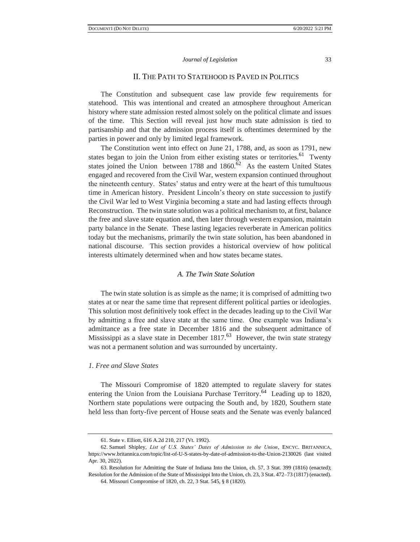## II. THE PATH TO STATEHOOD IS PAVED IN POLITICS

The Constitution and subsequent case law provide few requirements for statehood. This was intentional and created an atmosphere throughout American history where state admission rested almost solely on the political climate and issues of the time. This Section will reveal just how much state admission is tied to partisanship and that the admission process itself is oftentimes determined by the parties in power and only by limited legal framework.

The Constitution went into effect on June 21, 1788, and, as soon as 1791, new states began to join the Union from either existing states or territories.<sup>61</sup> Twenty states joined the Union between 1788 and  $1860$ .<sup>62</sup> As the eastern United States engaged and recovered from the Civil War, western expansion continued throughout the nineteenth century. States' status and entry were at the heart of this tumultuous time in American history. President Lincoln's theory on state succession to justify the Civil War led to West Virginia becoming a state and had lasting effects through Reconstruction. The twin state solution was a political mechanism to, at first, balance the free and slave state equation and, then later through western expansion, maintain party balance in the Senate. These lasting legacies reverberate in American politics today but the mechanisms, primarily the twin state solution, has been abandoned in national discourse. This section provides a historical overview of how political interests ultimately determined when and how states became states.

#### *A. The Twin State Solution*

The twin state solution is as simple as the name; it is comprised of admitting two states at or near the same time that represent different political parties or ideologies. This solution most definitively took effect in the decades leading up to the Civil War by admitting a free and slave state at the same time. One example was Indiana's admittance as a free state in December 1816 and the subsequent admittance of Mississippi as a slave state in December  $1817<sup>63</sup>$  However, the twin state strategy was not a permanent solution and was surrounded by uncertainty.

## *1. Free and Slave States*

The Missouri Compromise of 1820 attempted to regulate slavery for states entering the Union from the Louisiana Purchase Territory.<sup>64</sup> Leading up to 1820, Northern state populations were outpacing the South and, by 1820, Southern state held less than forty-five percent of House seats and the Senate was evenly balanced

<sup>61.</sup> State v. Elliott, 616 A.2d 210, 217 (Vt. 1992).

<sup>62.</sup> Samuel Shipley, *List of U.S. States' Dates of Admission to the Union*, ENCYC. BRITANNICA, https://www.britannica.com/topic/list-of-U-S-states-by-date-of-admission-to-the-Union-2130026 (last visited Apr. 30, 2022).

<sup>63.</sup> Resolution for Admitting the State of Indiana Into the Union, ch. 57, 3 Stat. 399 (1816) (enacted); Resolution for the Admission of the State of Mississippi Into the Union, ch. 23, 3 Stat. 472–73 (1817) (enacted).

<sup>64.</sup> Missouri Compromise of 1820, ch. 22, 3 Stat. 545, § 8 (1820).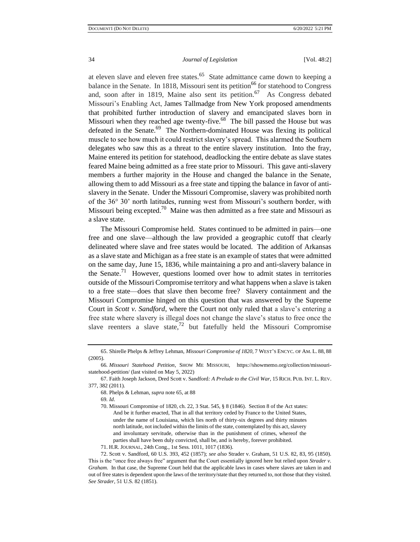at eleven slave and eleven free states.<sup>65</sup> State admittance came down to keeping a balance in the Senate. In 1818, Missouri sent its petition<sup>66</sup> for statehood to Congress and, soon after in 1819, Maine also sent its petition.<sup>67</sup> As Congress debated Missouri's Enabling Act, James Tallmadge from New York proposed amendments that prohibited further introduction of slavery and emancipated slaves born in Missouri when they reached age twenty-five.<sup>68</sup> The bill passed the House but was defeated in the Senate.<sup>69</sup> The Northern-dominated House was flexing its political muscle to see how much it could restrict slavery's spread. This alarmed the Southern delegates who saw this as a threat to the entire slavery institution. Into the fray, Maine entered its petition for statehood, deadlocking the entire debate as slave states feared Maine being admitted as a free state prior to Missouri. This gave anti-slavery members a further majority in the House and changed the balance in the Senate, allowing them to add Missouri as a free state and tipping the balance in favor of antislavery in the Senate. Under the Missouri Compromise, slavery was prohibited north of the 36° 30' north latitudes, running west from Missouri's southern border, with Missouri being excepted.<sup>70</sup> Maine was then admitted as a free state and Missouri as a slave state.

The Missouri Compromise held. States continued to be admitted in pairs—one free and one slave—although the law provided a geographic cutoff that clearly delineated where slave and free states would be located. The addition of Arkansas as a slave state and Michigan as a free state is an example of states that were admitted on the same day, June 15, 1836, while maintaining a pro and anti-slavery balance in the Senate.<sup>71</sup> However, questions loomed over how to admit states in territories outside of the Missouri Compromise territory and what happens when a slave is taken to a free state—does that slave then become free? Slavery containment and the Missouri Compromise hinged on this question that was answered by the Supreme Court in *Scott v. Sandford*, where the Court not only ruled that a slave's entering a free state where slavery is illegal does not change the slave's status to free once the slave reenters a slave state,<sup>72</sup> but fatefully held the Missouri Compromise

69*. Id*.

70. Missouri Compromise of 1820, ch. 22, 3 Stat. 545, § 8 (1846). Section 8 of the Act states: And be it further enacted, That in all that territory ceded by France to the United States, under the name of Louisiana, which lies north of thirty-six degrees and thirty minutes north latitude, not included within the limits of the state, contemplated by this act, slavery and involuntary servitude, otherwise than in the punishment of crimes, whereof the parties shall have been duly convicted, shall be, and is hereby, forever prohibited.

71. H.R. JOURNAL, 24th Cong., 1st Sess. 1011, 1017 (1836).

<sup>65.</sup> Shirelle Phelps & Jeffrey Lehman, *Missouri Compromise of 1820*, 7 WEST'S ENCYC. OF AM. L. 88, 88 (2005).

<sup>66</sup>*. Missouri Statehood Petition*, SHOW ME MISSOURI, [https://showmemo.org/collection/missouri](https://showmemo.org/collection/missouri-statehood-petition/)[statehood-petition/](https://showmemo.org/collection/missouri-statehood-petition/) (last visited on May 5, 2022)

<sup>67.</sup> Faith Joseph Jackson, Dred Scott v. Sandford*: A Prelude to the Civil War*, 15 RICH. PUB. INT. L. REV. 377, 382 (2011).

<sup>68.</sup> Phelps & Lehman, *supra* note 65, at 88

<sup>72.</sup> Scott v. Sandford, 60 U.S. 393, 452 (1857); *see also* Strader v. Graham, 51 U.S. 82, 83, 95 (1850). This is the "once free always free" argument that the Court essentially ignored here but relied upon *Strader v. Graham.* In that case, the Supreme Court held that the applicable laws in cases where slaves are taken in and out of free states is dependent upon the laws of the territory/state that they returned to, not those that they visited. *See Strader*, 51 U.S. 82 (1851).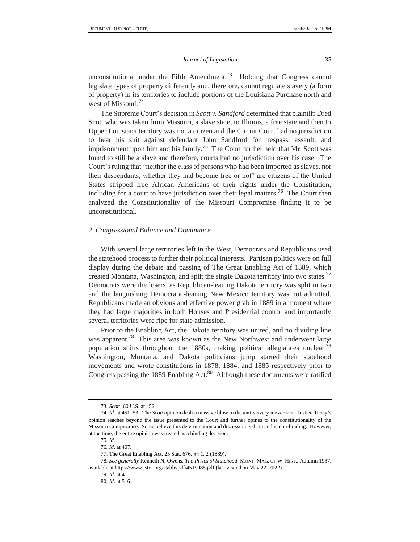unconstitutional under the Fifth Amendment.<sup>73</sup> Holding that Congress cannot legislate types of property differently and, therefore, cannot regulate slavery (a form of property) in its territories to include portions of the Louisiana Purchase north and west of Missouri.<sup>74</sup>

The Supreme Court's decision in *Scott v. Sandford* determined that plaintiff Dred Scott who was taken from Missouri, a slave state, to Illinois, a free state and then to Upper Louisiana territory was not a citizen and the Circuit Court had no jurisdiction to hear his suit against defendant John Sandford for trespass, assault, and imprisonment upon him and his family.<sup>75</sup> The Court further held that Mr. Scott was found to still be a slave and therefore, courts had no jurisdiction over his case. The Court's ruling that "neither the class of persons who had been imported as slaves, nor their descendants, whether they had become free or not" are citizens of the United States stripped free African Americans of their rights under the Constitution, including for a court to have jurisdiction over their legal matters.<sup>76</sup> The Court then analyzed the Constitutionality of the Missouri Compromise finding it to be unconstitutional.

#### *2. Congressional Balance and Dominance*

With several large territories left in the West, Democrats and Republicans used the statehood process to further their political interests. Partisan politics were on full display during the debate and passing of The Great Enabling Act of 1889, which created Montana, Washington, and split the single Dakota territory into two states.<sup>77</sup> Democrats were the losers, as Republican-leaning Dakota territory was split in two and the languishing Democratic-leaning New Mexico territory was not admitted. Republicans made an obvious and effective power grab in 1889 in a moment where they had large majorities in both Houses and Presidential control and importantly several territories were ripe for state admission.

Prior to the Enabling Act, the Dakota territory was united, and no dividing line was apparent.<sup>78</sup> This area was known as the New Northwest and underwent large population shifts throughout the 1880s, making political allegiances unclear.<sup>79</sup> Washington, Montana, and Dakota politicians jump started their statehood movements and wrote constitutions in 1878, 1884, and 1885 respectively prior to Congress passing the 1889 Enabling Act. $80$  Although these documents were ratified

<sup>73</sup>*. Scott*, 60 U.S. at 452*.*

<sup>74</sup>*. Id*. at 451–53. The *Scott* opinion dealt a massive blow to the anti-slavery movement. Justice Taney's opinion reaches beyond the issue presented to the Court and further opines to the constitutionality of the Missouri Compromise. Some believe this determination and discussion is dicta and is non-binding. However, at the time, the entire opinion was treated as a binding decision.

<sup>75</sup>*. Id.*

<sup>76</sup>*. Id*. at 407.

<sup>77.</sup> The Great Enabling Act, 25 Stat. 676, §§ 1, 2 (1889).

<sup>78</sup>*. See generally* Kenneth N. Owens, *The Prizes of Statehood,* MONT. MAG. OF W. HIST., Autumn 1987, available at https://www.jstor.org/stable/pdf/4519088.pdf (last visited on May 22, 2022).

<sup>79</sup>*. Id*. at 4.

<sup>80</sup>*. Id*. at 5–6.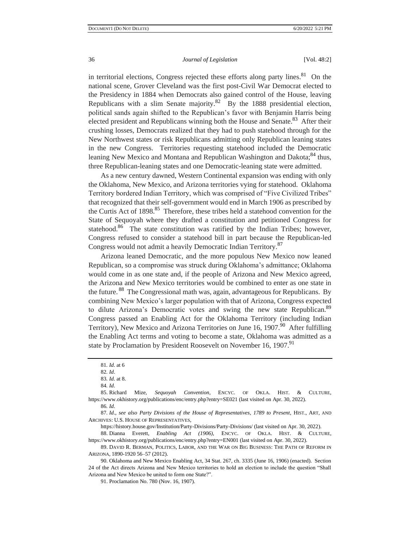in territorial elections, Congress rejected these efforts along party lines. $81$  On the national scene, Grover Cleveland was the first post-Civil War Democrat elected to the Presidency in 1884 when Democrats also gained control of the House, leaving Republicans with a slim Senate majority.<sup>82</sup> By the 1888 presidential election, political sands again shifted to the Republican's favor with Benjamin Harris being elected president and Republicans winning both the House and Senate.<sup>83</sup> After their crushing losses, Democrats realized that they had to push statehood through for the New Northwest states or risk Republicans admitting only Republican leaning states in the new Congress. Territories requesting statehood included the Democratic leaning New Mexico and Montana and Republican Washington and Dakota;<sup>84</sup> thus, three Republican-leaning states and one Democratic-leaning state were admitted.

As a new century dawned, Western Continental expansion was ending with only the Oklahoma, New Mexico, and Arizona territories vying for statehood. Oklahoma Territory bordered Indian Territory, which was comprised of "Five Civilized Tribes" that recognized that their self-government would end in March 1906 as prescribed by the Curtis Act of 1898.<sup>85</sup> Therefore, these tribes held a statehood convention for the State of Sequoyah where they drafted a constitution and petitioned Congress for statehood. $86$  The state constitution was ratified by the Indian Tribes; however, Congress refused to consider a statehood bill in part because the Republican-led Congress would not admit a heavily Democratic Indian Territory.<sup>87</sup>

Arizona leaned Democratic, and the more populous New Mexico now leaned Republican, so a compromise was struck during Oklahoma's admittance; Oklahoma would come in as one state and, if the people of Arizona and New Mexico agreed, the Arizona and New Mexico territories would be combined to enter as one state in the future. <sup>88</sup> The Congressional math was, again, advantageous for Republicans. By combining New Mexico's larger population with that of Arizona, Congress expected to dilute Arizona's Democratic votes and swing the new state Republican.<sup>89</sup> Congress passed an Enabling Act for the Oklahoma Territory (including Indian Territory), New Mexico and Arizona Territories on June 16, 1907.<sup>90</sup> After fulfilling the Enabling Act terms and voting to become a state, Oklahoma was admitted as a state by Proclamation by President Roosevelt on November 16, 1907.<sup>91</sup>

87*. Id*., *see also Party Divisions of the House of Representatives, 1789 to Present*, HIST., ART, AND ARCHIVES: U.S. HOUSE OF REPRESENTATIVES,

https://history.house.gov/Institution/Party-Divisions/Party-Divisions/ (last visited on Apr. 30, 2022).

88. Dianna Everett, *Enabling Act (1906),* ENCYC. OF OKLA. HIST. & CULTURE, https://www.okhistory.org/publications/enc/entry.php?entry=EN001 (last visited on Apr. 30, 2022).

89. DAVID R. BERMAN, POLITICS, LABOR, AND THE WAR ON BIG BUSINESS: THE PATH OF REFORM IN ARIZONA, 1890-1920 56–57 (2012).

90. Oklahoma and New Mexico Enabling Act, 34 Stat. 267, ch. 3335 (June 16, 1906) (enacted). Section 24 of the Act directs Arizona and New Mexico territories to hold an election to include the question "Shall Arizona and New Mexico be united to form one State?".

<sup>81</sup>*. Id*. at 6

<sup>82</sup>*. Id*.

<sup>83</sup>*. Id.* at 8. 84*. Id*.

<sup>85.</sup> Richard Mize, *Sequoyah Convention*, ENCYC. OF OKLA. HIST. & CULTURE, https://www.okhistory.org/publications/enc/entry.php?entry=SE021 (last visited on Apr. 30, 2022).

<sup>86</sup>*. Id*.

<sup>91.</sup> Proclamation No. 780 (Nov. 16, 1907).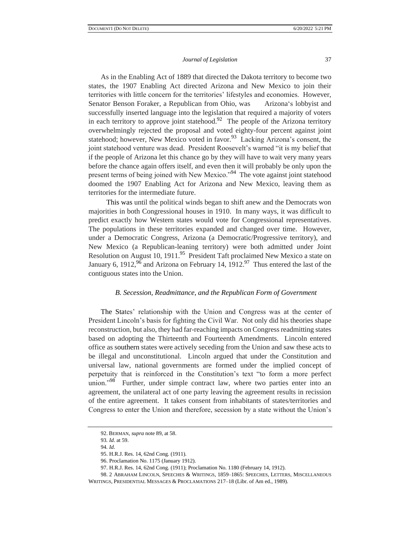As in the Enabling Act of 1889 that directed the Dakota territory to become two states, the 1907 Enabling Act directed Arizona and New Mexico to join their territories with little concern for the territories' lifestyles and economies. However, Senator Benson Foraker, a Republican from Ohio, was Arizona's lobbyist and successfully inserted language into the legislation that required a majority of voters in each territory to approve joint statehood.<sup>92</sup> The people of the Arizona territory overwhelmingly rejected the proposal and voted eighty-four percent against joint statehood; however, New Mexico voted in favor.<sup>93</sup> Lacking Arizona's consent, the joint statehood venture was dead. President Roosevelt's warned "it is my belief that if the people of Arizona let this chance go by they will have to wait very many years before the chance again offers itself, and even then it will probably be only upon the present terms of being joined with New Mexico."<sup>94</sup> The vote against joint statehood doomed the 1907 Enabling Act for Arizona and New Mexico, leaving them as territories for the intermediate future.

 This was until the political winds began to shift anew and the Democrats won majorities in both Congressional houses in 1910. In many ways, it was difficult to predict exactly how Western states would vote for Congressional representatives. The populations in these territories expanded and changed over time. However, under a Democratic Congress, Arizona (a Democratic/Progressive territory), and New Mexico (a Republican-leaning territory) were both admitted under Joint Resolution on August 10, 1911.<sup>95</sup> President Taft proclaimed New Mexico a state on January 6, 1912,<sup>96</sup> and Arizona on February 14, 1912.<sup>97</sup> Thus entered the last of the contiguous states into the Union.

#### *B. Secession, Readmittance, and the Republican Form of Government*

The States' relationship with the Union and Congress was at the center of President Lincoln's basis for fighting the Civil War. Not only did his theories shape reconstruction, but also, they had far-reaching impacts on Congress readmitting states based on adopting the Thirteenth and Fourteenth Amendments. Lincoln entered office as southern states were actively seceding from the Union and saw these acts to be illegal and unconstitutional. Lincoln argued that under the Constitution and universal law, national governments are formed under the implied concept of perpetuity that is reinforced in the Constitution's text "to form a more perfect union."<sup>98</sup> Further, under simple contract law, where two parties enter into an agreement, the unilateral act of one party leaving the agreement results in recission of the entire agreement. It takes consent from inhabitants of states/territories and Congress to enter the Union and therefore, secession by a state without the Union's

<sup>92.</sup> BERMAN, *supra* note 89, at 58.

<sup>93</sup>*. Id*. at 59.

<sup>94</sup>*. Id*.

<sup>95.</sup> H.R.J. Res. 14, 62nd Cong. (1911).

<sup>96.</sup> Proclamation No. 1175 (January 1912).

<sup>97.</sup> H.R.J. Res. 14, 62nd Cong. (1911); Proclamation No. 1180 (February 14, 1912).

<sup>98.</sup> 2 ABRAHAM LINCOLN, SPEECHES & WRITINGS, 1859–1865: SPEECHES, LETTERS, MISCELLANEOUS WRITINGS, PRESIDENTIAL MESSAGES & PROCLAMATIONS 217–18 (Libr. of Am ed., 1989).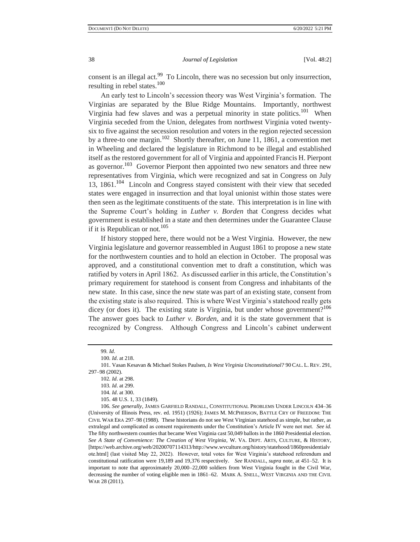consent is an illegal act.<sup>99</sup> To Lincoln, there was no secession but only insurrection, resulting in rebel states.<sup>100</sup>

An early test to Lincoln's secession theory was West Virginia's formation. The Virginias are separated by the Blue Ridge Mountains. Importantly, northwest Virginia had few slaves and was a perpetual minority in state politics.<sup>101</sup> When Virginia seceded from the Union, delegates from northwest Virginia voted twentysix to five against the secession resolution and voters in the region rejected secession by a three-to one margin.<sup>102</sup> Shortly thereafter, on June 11, 1861, a convention met in Wheeling and declared the legislature in Richmond to be illegal and established itself as the restored government for all of Virginia and appointed Francis H. Pierpont as governor.<sup>103</sup> Governor Pierpont then appointed two new senators and three new representatives from Virginia, which were recognized and sat in Congress on July 13, 1861.<sup>104</sup> Lincoln and Congress stayed consistent with their view that seceded states were engaged in insurrection and that loyal unionist within those states were then seen as the legitimate constituents of the state. This interpretation is in line with the Supreme Court's holding in *Luther v. Borden* that Congress decides what government is established in a state and then determines under the Guarantee Clause if it is Republican or not.<sup>105</sup>

If history stopped here, there would not be a West Virginia. However, the new Virginia legislature and governor reassembled in August 1861 to propose a new state for the northwestern counties and to hold an election in October. The proposal was approved, and a constitutional convention met to draft a constitution, which was ratified by voters in April 1862. As discussed earlier in this article, the Constitution's primary requirement for statehood is consent from Congress and inhabitants of the new state. In this case, since the new state was part of an existing state, consent from the existing state is also required. This is where West Virginia's statehood really gets dicey (or does it). The existing state is Virginia, but under whose government?<sup>106</sup> The answer goes back to *Luther v. Borden*, and it is the state government that is recognized by Congress. Although Congress and Lincoln's cabinet underwent

105. 48 U.S. 1, 33 (1849).

106*. See generally*, JAMES GARFIELD RANDALL, CONSTITUTIONAL PROBLEMS UNDER LINCOLN 434–36 (University of Illinois Press, rev. ed. 1951) (1926); JAMES M. MCPHERSON, BATTLE CRY OF FREEDOM: THE CIVIL WAR ERA 297–98 (1988). These historians do not see West Virginian statehood as simple, but rather, as extralegal and complicated as consent requirements under the Constitution's Article IV were not met. *See id.*  The fifty northwestern counties that became West Virginia cast 50,049 ballots in the 1860 Presidential election. *See A State of Convenience: The Creation of West Virginia*, W. VA. DEPT. ARTS, CULTURE, & HISTORY, [https://web.archive.org/web/20200707114313/http://www.wvculture.org/history/statehood/1860presidentialv ote.html] (last visited May 22, 2022). However, total votes for West Virginia's statehood referendum and constitutional ratification were 19,189 and 19,376 respectively. *See* RANDALL, *supra* note, at 451–52. It is important to note that approximately 20,000–22,000 soldiers from West Virginia fought in the Civil War, decreasing the number of voting eligible men in 1861–62. MARK A. SNELL, WEST VIRGINIA AND THE CIVIL WAR 28 (2011).

<sup>99</sup>*. Id*.

<sup>100</sup>*. Id*. at 218.

<sup>101.</sup> Vasan Kesavan & Michael Stokes Paulsen, *Is West Virginia Unconstitutional?* 90 CAL. L. REV. 291, 297–98 (2002).

<sup>102</sup>*. Id*. at 298.

<sup>103</sup>*. Id*. at 299.

<sup>104</sup>*. Id*. at 300.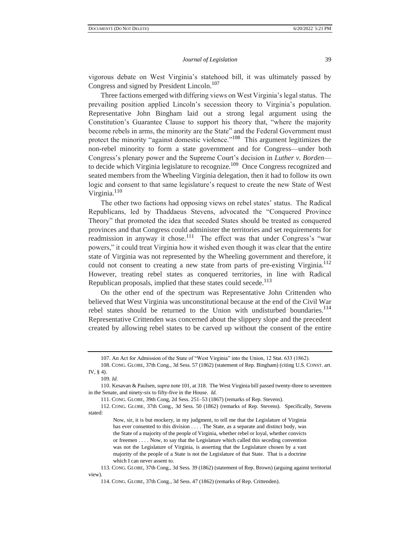vigorous debate on West Virginia's statehood bill, it was ultimately passed by Congress and signed by President Lincoln.<sup>107</sup>

Three factions emerged with differing views on West Virginia's legal status. The prevailing position applied Lincoln's secession theory to Virginia's population. Representative John Bingham laid out a strong legal argument using the Constitution's Guarantee Clause to support his theory that, "where the majority become rebels in arms, the minority are the State" and the Federal Government must protect the minority "against domestic violence."<sup>108</sup> This argument legitimizes the non-rebel minority to form a state government and for Congress—under both Congress's plenary power and the Supreme Court's decision in *Luther v. Borden* to decide which Virginia legislature to recognize.<sup>109</sup> Once Congress recognized and seated members from the Wheeling Virginia delegation, then it had to follow its own logic and consent to that same legislature's request to create the new State of West Virginia.<sup>110</sup>

The other two factions had opposing views on rebel states' status. The Radical Republicans, led by Thaddaeus Stevens, advocated the "Conquered Province Theory" that promoted the idea that seceded States should be treated as conquered provinces and that Congress could administer the territories and set requirements for readmission in anyway it chose.<sup>111</sup> The effect was that under Congress's "war powers," it could treat Virginia how it wished even though it was clear that the entire state of Virginia was not represented by the Wheeling government and therefore, it could not consent to creating a new state from parts of pre-existing Virginia.<sup>112</sup> However, treating rebel states as conquered territories, in line with Radical Republican proposals, implied that these states could secede.<sup>113</sup>

On the other end of the spectrum was Representative John Crittenden who believed that West Virginia was unconstitutional because at the end of the Civil War rebel states should be returned to the Union with undisturbed boundaries.<sup>114</sup> Representative Crittenden was concerned about the slippery slope and the precedent created by allowing rebel states to be carved up without the consent of the entire

<sup>107.</sup> An Act for Admission of the State of "West Virginia" into the Union, 12 Stat. 633 (1862).

<sup>108.</sup> CONG. GLOBE, 37th Cong., 3d Sess. 57 (1862) (statement of Rep. Bingham) (citing U.S. CONST. art. IV, § 4).

<sup>109</sup>*. Id.*

<sup>110.</sup> Kesavan & Paulsen, *supra* note 101, at 318. The West Virginia bill passed twenty-three to seventeen in the Senate, and ninety-six to fifty-five in the House. *Id.*

<sup>111.</sup> CONG. GLOBE, 39th Cong, 2d Sess. 251–53 (1867) (remarks of Rep. Stevens).

<sup>112.</sup> CONG. GLOBE, 37th Cong., 3d Sess. 50 (1862) (remarks of Rep. Stevens). Specifically, Stevens stated:

Now, sir, it is but mockery, in my judgment, to tell me that the Legislature of Virginia has ever consented to this division . . . . The State, as a separate and distinct body, was the State of a majority of the people of Virginia, whether rebel or loyal, whether convicts or freemen . . . . Now, to say that the Legislature which called this seceding convention was not the Legislature of Virginia, is asserting that the Legislature chosen by a vast majority of the people of a State is not the Legislature of that State. That is a doctrine which I can never assent to.

<sup>113.</sup> CONG. GLOBE, 37th Cong., 3d Sess. 39 (1862) (statement of Rep. Brown) (arguing against territorial view).

<sup>114.</sup> CONG. GLOBE, 37th Cong., 3d Sess. 47 (1862) (remarks of Rep. Crittenden).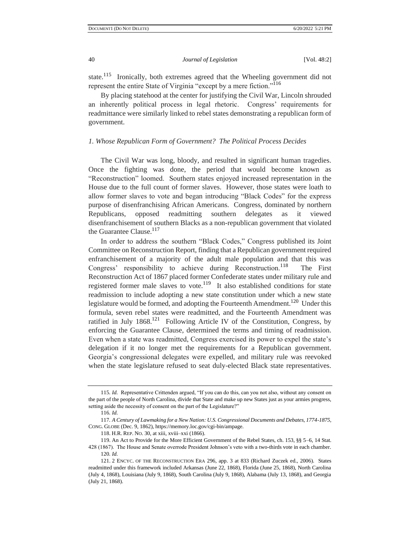state.<sup>115</sup> Ironically, both extremes agreed that the Wheeling government did not represent the entire State of Virginia "except by a mere fiction."<sup>116</sup>

By placing statehood at the center for justifying the Civil War, Lincoln shrouded an inherently political process in legal rhetoric. Congress' requirements for readmittance were similarly linked to rebel states demonstrating a republican form of government.

#### *1. Whose Republican Form of Government? The Political Process Decides*

The Civil War was long, bloody, and resulted in significant human tragedies. Once the fighting was done, the period that would become known as "Reconstruction" loomed. Southern states enjoyed increased representation in the House due to the full count of former slaves. However, those states were loath to allow former slaves to vote and began introducing "Black Codes" for the express purpose of disenfranchising African Americans. Congress, dominated by northern Republicans, opposed readmitting southern delegates as it viewed disenfranchisement of southern Blacks as a non-republican government that violated the Guarantee Clause.<sup>117</sup>

In order to address the southern "Black Codes," Congress published its Joint Committee on Reconstruction Report, finding that a Republican government required enfranchisement of a majority of the adult male population and that this was Congress' responsibility to achieve during Reconstruction.<sup>118</sup> The First Reconstruction Act of 1867 placed former Confederate states under military rule and registered former male slaves to vote.<sup>119</sup> It also established conditions for state readmission to include adopting a new state constitution under which a new state legislature would be formed, and adopting the Fourteenth Amendment.<sup>120</sup> Under this formula, seven rebel states were readmitted, and the Fourteenth Amendment was ratified in July  $1868$ .<sup>121</sup> Following Article IV of the Constitution, Congress, by enforcing the Guarantee Clause, determined the terms and timing of readmission. Even when a state was readmitted, Congress exercised its power to expel the state's delegation if it no longer met the requirements for a Republican government. Georgia's congressional delegates were expelled, and military rule was reevoked when the state legislature refused to seat duly-elected Black state representatives.

<sup>115</sup>*. Id.* Representative Crittenden argued, "If you can do this, can you not also, without any consent on the part of the people of North Carolina, divide that State and make up new States just as your armies progress, setting aside the necessity of consent on the part of the Legislature?"

<sup>116</sup>*. Id.*

<sup>117</sup>*. A Century of Lawmaking for a New Nation: U.S. Congressional Documents and Debates, 1774-1875,*  CONG. GLOBE (Dec. 9, 1862), https://memory.loc.gov/cgi-bin/ampage.

<sup>118.</sup> H.R. REP. NO. 30, at xiii, xviii–xxi (1866).

<sup>119.</sup> An Act to Provide for the More Efficient Government of the Rebel States, ch. 153, §§ 5–6, 14 Stat. 428 (1867). The House and Senate overrode President Johnson's veto with a two-thirds vote in each chamber. 120*. Id.*

<sup>121.</sup> 2 ENCYC. OF THE RECONSTRUCTION ERA 296, app. 3 at 833 (Richard Zuczek ed., 2006). States readmitted under this framework included Arkansas (June 22, 1868), Florida (June 25, 1868), North Carolina (July 4, 1868), Louisiana (July 9, 1868), South Carolina (July 9, 1868), Alabama (July 13, 1868), and Georgia (July 21, 1868).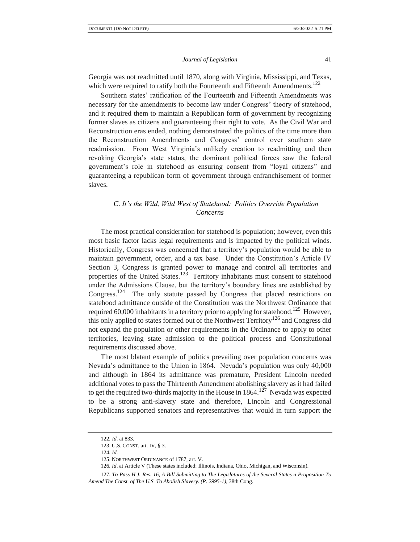Georgia was not readmitted until 1870, along with Virginia, Mississippi, and Texas, which were required to ratify both the Fourteenth and Fifteenth Amendments.<sup>122</sup>

Southern states' ratification of the Fourteenth and Fifteenth Amendments was necessary for the amendments to become law under Congress' theory of statehood, and it required them to maintain a Republican form of government by recognizing former slaves as citizens and guaranteeing their right to vote. As the Civil War and Reconstruction eras ended, nothing demonstrated the politics of the time more than the Reconstruction Amendments and Congress' control over southern state readmission. From West Virginia's unlikely creation to readmitting and then revoking Georgia's state status, the dominant political forces saw the federal government's role in statehood as ensuring consent from "loyal citizens" and guaranteeing a republican form of government through enfranchisement of former slaves.

## *C. It's the Wild, Wild West of Statehood: Politics Override Population Concerns*

The most practical consideration for statehood is population; however, even this most basic factor lacks legal requirements and is impacted by the political winds. Historically, Congress was concerned that a territory's population would be able to maintain government, order, and a tax base. Under the Constitution's Article IV Section 3, Congress is granted power to manage and control all territories and properties of the United States.<sup>123</sup> Territory inhabitants must consent to statehood under the Admissions Clause, but the territory's boundary lines are established by Congress.<sup>124</sup> The only statute passed by Congress that placed restrictions on statehood admittance outside of the Constitution was the Northwest Ordinance that required 60,000 inhabitants in a territory prior to applying for statehood.<sup>125</sup> However, this only applied to states formed out of the Northwest Territory<sup>126</sup> and Congress did not expand the population or other requirements in the Ordinance to apply to other territories, leaving state admission to the political process and Constitutional requirements discussed above.

The most blatant example of politics prevailing over population concerns was Nevada's admittance to the Union in 1864. Nevada's population was only 40,000 and although in 1864 its admittance was premature, President Lincoln needed additional votes to pass the Thirteenth Amendment abolishing slavery as it had failed to get the required two-thirds majority in the House in  $1864$ <sup>127</sup> Nevada was expected to be a strong anti-slavery state and therefore, Lincoln and Congressional Republicans supported senators and representatives that would in turn support the

<sup>122</sup>*. Id.* at 833.

<sup>123.</sup> U.S. CONST. art. IV, § 3.

<sup>124</sup>*. Id.*

<sup>125.</sup> NORTHWEST ORDINANCE of 1787, art. V.

<sup>126</sup>*. Id*. at Article V (These states included: Illinois, Indiana, Ohio, Michigan, and Wisconsin).

<sup>127</sup>*. To Pass H.J. Res. 16, A Bill Submitting to The Legislatures of the Several States a Proposition To Amend The Const. of The U.S. To Abolish Slavery. (P. 2995-1),* 38th Cong.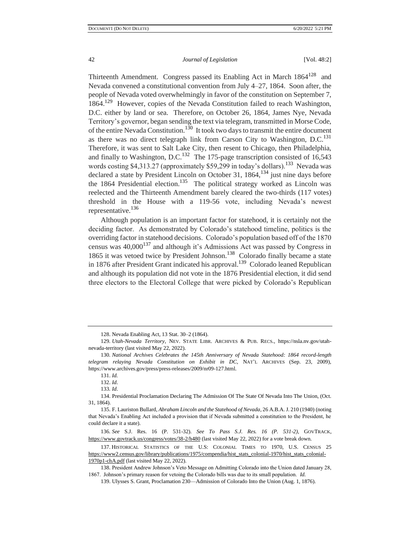Thirteenth Amendment. Congress passed its Enabling Act in March 1864<sup>128</sup> and Nevada convened a constitutional convention from July 4–27, 1864. Soon after, the people of Nevada voted overwhelmingly in favor of the constitution on September 7, 1864.<sup>129</sup> However, copies of the Nevada Constitution failed to reach Washington, D.C. either by land or sea. Therefore, on October 26, 1864, James Nye, Nevada Territory's governor, began sending the text via telegram, transmitted in Morse Code, of the entire Nevada Constitution.<sup>130</sup> It took two days to transmit the entire document as there was no direct telegraph link from Carson City to Washington, D.C.<sup>131</sup> Therefore, it was sent to Salt Lake City, then resent to Chicago, then Philadelphia, and finally to Washington, D.C.<sup>132</sup> The 175-page transcription consisted of 16,543 words costing \$4,313.27 (approximately \$59,299 in today's dollars).<sup>133</sup> Nevada was declared a state by President Lincoln on October 31,  $1864$ ,  $134$  just nine days before the 1864 Presidential election.<sup>135</sup> The political strategy worked as Lincoln was reelected and the Thirteenth Amendment barely cleared the two-thirds (117 votes) threshold in the House with a 119-56 vote, including Nevada's newest representative.<sup>136</sup>

Although population is an important factor for statehood, it is certainly not the deciding factor. As demonstrated by Colorado's statehood timeline, politics is the overriding factor in statehood decisions. Colorado's population based off of the 1870 census was 40,000<sup>137</sup> and although it's Admissions Act was passed by Congress in 1865 it was vetoed twice by President Johnson.<sup>138</sup> Colorado finally became a state in 1876 after President Grant indicated his approval.<sup>139</sup> Colorado leaned Republican and although its population did not vote in the 1876 Presidential election, it did send three electors to the Electoral College that were picked by Colorado's Republican

132. *Id*.

<sup>128.</sup> Nevada Enabling Act, 13 Stat. 30–2 (1864).

<sup>129</sup>*. Utah-Nevada Territory*, NEV. STATE LIBR. ARCHIVES & PUB. RECS., https://nsla.nv.gov/utahnevada-territory (last visited May 22, 2022).

<sup>130</sup>*. National Archives Celebrates the 145th Anniversary of Nevada Statehood: 1864 record-length telegram relaying Nevada Constitution on Exhibit in DC*, NAT'L ARCHIVES (Sep. 23, 2009), https://www.archives.gov/press/press-releases/2009/nr09-127.html.

<sup>131.</sup> *Id.*

<sup>133</sup>*. Id*.

<sup>134.</sup> Presidential Proclamation Declaring The Admission Of The State Of Nevada Into The Union, (Oct. 31, 1864).

<sup>135.</sup> F. Lauriston Bullard, *Abraham Lincoln and the Statehood of Nevada*, 26 A.B.A. J. 210 (1940) (noting that Nevada's Enabling Act included a provision that if Nevada submitted a constitution to the President, he could declare it a state).

<sup>136</sup>*. See* S.J. Res. 16 (P. 531-32). *See To Pass S.J. Res. 16 (P. 531-2),* GOVTRACK, <https://www.govtrack.us/congress/votes/38-2/h480> (last visited May 22, 2022) for a vote break down.

<sup>137.</sup> HISTORICAL STATISTICS OF THE U.S: COLONIAL TIMES TO 1970, U.S. CENSUS 25 [https://www2.census.gov/library/publications/1975/compendia/hist\\_stats\\_colonial-1970/hist\\_stats\\_colonial-](https://www2.census.gov/library/publications/1975/compendia/hist_stats_colonial-1970/hist_stats_colonial-1970p1-chA.pdf)[1970p1-chA.pdf](https://www2.census.gov/library/publications/1975/compendia/hist_stats_colonial-1970/hist_stats_colonial-1970p1-chA.pdf) (last visited May 22, 2022).

<sup>138.</sup> President Andrew Johnson's Veto Message on Admitting Colorado into the Union dated January 28, 1867. Johnson's primary reason for vetoing the Colorado bills was due to its small population. *Id.* 

<sup>139.</sup> Ulysses S. Grant, Proclamation 230—Admission of Colorado Into the Union (Aug. 1, 1876).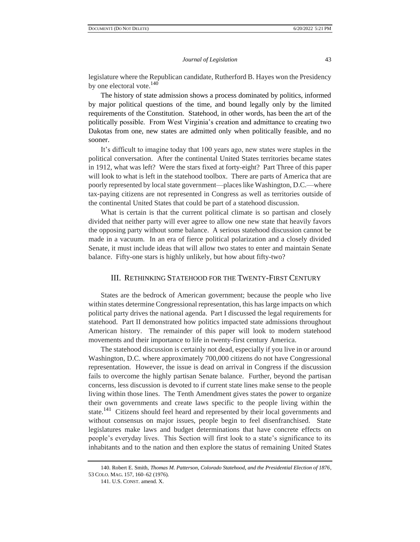legislature where the Republican candidate, Rutherford B. Hayes won the Presidency by one electoral vote.<sup>140</sup>

The history of state admission shows a process dominated by politics, informed by major political questions of the time, and bound legally only by the limited requirements of the Constitution. Statehood, in other words, has been the art of the politically possible. From West Virginia's creation and admittance to creating two Dakotas from one, new states are admitted only when politically feasible, and no sooner.

It's difficult to imagine today that 100 years ago, new states were staples in the political conversation. After the continental United States territories became states in 1912, what was left? Were the stars fixed at forty-eight? Part Three of this paper will look to what is left in the statehood toolbox. There are parts of America that are poorly represented by local state government—places like Washington, D.C.—where tax-paying citizens are not represented in Congress as well as territories outside of the continental United States that could be part of a statehood discussion.

What is certain is that the current political climate is so partisan and closely divided that neither party will ever agree to allow one new state that heavily favors the opposing party without some balance. A serious statehood discussion cannot be made in a vacuum. In an era of fierce political polarization and a closely divided Senate, it must include ideas that will allow two states to enter and maintain Senate balance. Fifty-one stars is highly unlikely, but how about fifty-two?

## III. RETHINKING STATEHOOD FOR THE TWENTY-FIRST CENTURY

States are the bedrock of American government; because the people who live within states determine Congressional representation, this has large impacts on which political party drives the national agenda. Part I discussed the legal requirements for statehood. Part II demonstrated how politics impacted state admissions throughout American history. The remainder of this paper will look to modern statehood movements and their importance to life in twenty-first century America.

The statehood discussion is certainly not dead, especially if you live in or around Washington, D.C. where approximately 700,000 citizens do not have Congressional representation. However, the issue is dead on arrival in Congress if the discussion fails to overcome the highly partisan Senate balance. Further, beyond the partisan concerns, less discussion is devoted to if current state lines make sense to the people living within those lines. The Tenth Amendment gives states the power to organize their own governments and create laws specific to the people living within the state.<sup>141</sup> Citizens should feel heard and represented by their local governments and without consensus on major issues, people begin to feel disenfranchised. State legislatures make laws and budget determinations that have concrete effects on people's everyday lives. This Section will first look to a state's significance to its inhabitants and to the nation and then explore the status of remaining United States

<sup>140.</sup> Robert E. Smith, *Thomas M. Patterson, Colorado Statehood, and the Presidential Election of 1876*, 53 COLO. MAG. 157, 160–62 (1976).

<sup>141.</sup> U.S. CONST. amend. X.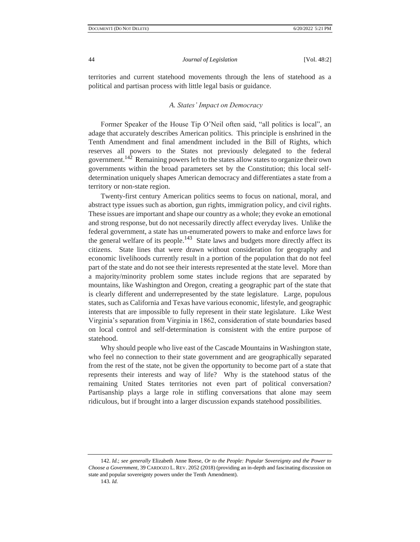territories and current statehood movements through the lens of statehood as a political and partisan process with little legal basis or guidance.

## *A. States' Impact on Democracy*

Former Speaker of the House Tip O'Neil often said, "all politics is local", an adage that accurately describes American politics. This principle is enshrined in the Tenth Amendment and final amendment included in the Bill of Rights, which reserves all powers to the States not previously delegated to the federal government.<sup>142</sup> Remaining powers left to the states allow states to organize their own governments within the broad parameters set by the Constitution; this local selfdetermination uniquely shapes American democracy and differentiates a state from a territory or non-state region.

Twenty-first century American politics seems to focus on national, moral, and abstract type issues such as abortion, gun rights, immigration policy, and civil rights. These issues are important and shape our country as a whole; they evoke an emotional and strong response, but do not necessarily directly affect everyday lives. Unlike the federal government, a state has un-enumerated powers to make and enforce laws for the general welfare of its people.<sup>143</sup> State laws and budgets more directly affect its citizens. State lines that were drawn without consideration for geography and economic livelihoods currently result in a portion of the population that do not feel part of the state and do not see their interests represented at the state level. More than a majority/minority problem some states include regions that are separated by mountains, like Washington and Oregon, creating a geographic part of the state that is clearly different and underrepresented by the state legislature. Large, populous states, such as California and Texas have various economic, lifestyle, and geographic interests that are impossible to fully represent in their state legislature. Like West Virginia's separation from Virginia in 1862, consideration of state boundaries based on local control and self-determination is consistent with the entire purpose of statehood.

Why should people who live east of the Cascade Mountains in Washington state, who feel no connection to their state government and are geographically separated from the rest of the state, not be given the opportunity to become part of a state that represents their interests and way of life? Why is the statehood status of the remaining United States territories not even part of political conversation? Partisanship plays a large role in stifling conversations that alone may seem ridiculous, but if brought into a larger discussion expands statehood possibilities.

142. *Id.*; *see generally* Elizabeth Anne Reese, *Or to the People: Popular Sovereignty and the Power to Choose a Government*, 39 CARDOZO L. REV. 2052 (2018) (providing an in-depth and fascinating discussion on state and popular sovereignty powers under the Tenth Amendment).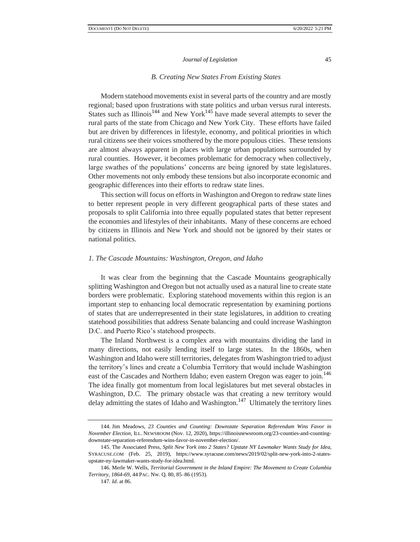#### *B. Creating New States From Existing States*

Modern statehood movements exist in several parts of the country and are mostly regional; based upon frustrations with state politics and urban versus rural interests. States such as Illinois<sup>144</sup> and New York<sup>145</sup> have made several attempts to sever the rural parts of the state from Chicago and New York City. These efforts have failed but are driven by differences in lifestyle, economy, and political priorities in which rural citizens see their voices smothered by the more populous cities. These tensions are almost always apparent in places with large urban populations surrounded by rural counties. However, it becomes problematic for democracy when collectively, large swathes of the populations' concerns are being ignored by state legislatures. Other movements not only embody these tensions but also incorporate economic and geographic differences into their efforts to redraw state lines.

This section will focus on efforts in Washington and Oregon to redraw state lines to better represent people in very different geographical parts of these states and proposals to split California into three equally populated states that better represent the economies and lifestyles of their inhabitants. Many of these concerns are echoed by citizens in Illinois and New York and should not be ignored by their states or national politics.

#### *1. The Cascade Mountains: Washington, Oregon, and Idaho*

It was clear from the beginning that the Cascade Mountains geographically splitting Washington and Oregon but not actually used as a natural line to create state borders were problematic. Exploring statehood movements within this region is an important step to enhancing local democratic representation by examining portions of states that are underrepresented in their state legislatures, in addition to creating statehood possibilities that address Senate balancing and could increase Washington D.C. and Puerto Rico's statehood prospects.

The Inland Northwest is a complex area with mountains dividing the land in many directions, not easily lending itself to large states. In the 1860s, when Washington and Idaho were still territories, delegates from Washington tried to adjust the territory's lines and create a Columbia Territory that would include Washington east of the Cascades and Northern Idaho; even eastern Oregon was eager to join.<sup>146</sup> The idea finally got momentum from local legislatures but met several obstacles in Washington, D.C. The primary obstacle was that creating a new territory would delay admitting the states of Idaho and Washington.<sup>147</sup> Ultimately the territory lines

<sup>144.</sup> Jim Meadows, *23 Counties and Counting: Downstate Separation Referendum Wins Favor in November Election*, ILL. NEWSROOM (Nov. 12, 2020)[, https://illinoisnewsroom.org/23-counties-and-counting](https://illinoisnewsroom.org/23-counties-and-counting-downstate-separation-referendum-wins-favor-in-november-election/)[downstate-separation-referendum-wins-favor-in-november-election/.](https://illinoisnewsroom.org/23-counties-and-counting-downstate-separation-referendum-wins-favor-in-november-election/)

<sup>145.</sup> The Associated Press, *Split New York into 2 States? Upstate NY Lawmaker Wants Study for Idea*, SYRACUSE.COM (Feb. 25, 2019), [https://www.syracuse.com/news/2019/02/split-new-york-into-2-states](https://www.syracuse.com/news/2019/02/split-new-york-into-2-states-upstate-ny-lawmaker-wants-study-for-idea.html)[upstate-ny-lawmaker-wants-study-for-idea.html.](https://www.syracuse.com/news/2019/02/split-new-york-into-2-states-upstate-ny-lawmaker-wants-study-for-idea.html)

<sup>146.</sup> Merle W. Wells, *Territorial Government in the Inland Empire: The Movement to Create Columbia Territory, 1864-69*, 44 PAC. NW. Q. 80, 85–86 (1953).

<sup>147</sup>*. Id*. at 86.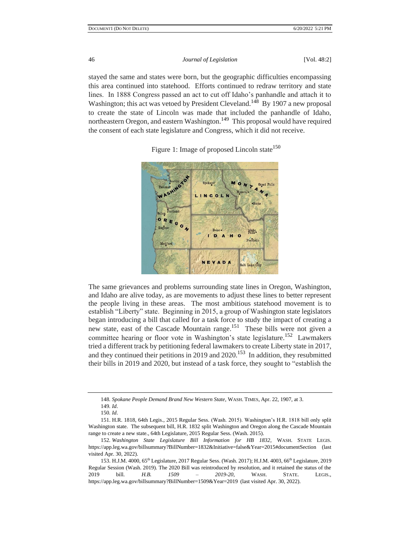stayed the same and states were born, but the geographic difficulties encompassing this area continued into statehood. Efforts continued to redraw territory and state lines. In 1888 Congress passed an act to cut off Idaho's panhandle and attach it to Washington; this act was vetoed by President Cleveland.<sup>148</sup> By 1907 a new proposal to create the state of Lincoln was made that included the panhandle of Idaho, northeastern Oregon, and eastern Washington.<sup>149</sup> This proposal would have required the consent of each state legislature and Congress, which it did not receive.



Figure 1: Image of proposed Lincoln state<sup>150</sup>

The same grievances and problems surrounding state lines in Oregon, Washington, and Idaho are alive today, as are movements to adjust these lines to better represent the people living in these areas. The most ambitious statehood movement is to establish "Liberty" state. Beginning in 2015, a group of Washington state legislators began introducing a bill that called for a task force to study the impact of creating a new state, east of the Cascade Mountain range.<sup>151</sup> These bills were not given a committee hearing or floor vote in Washington's state legislature.<sup>152</sup> Lawmakers tried a different track by petitioning federal lawmakers to create Liberty state in 2017, and they continued their petitions in 2019 and  $2020$ <sup>153</sup> In addition, they resubmitted their bills in 2019 and 2020, but instead of a task force, they sought to "establish the

<sup>148</sup>*. Spokane People Demand Brand New Western State*, WASH. TIMES, Apr. 22, 1907, at 3.

<sup>149</sup>*. Id*.

<sup>150</sup>*. Id*.

<sup>151.</sup> H.R. 1818, 64th Legis., 2015 Regular Sess. (Wash. 2015). Washington's H.R. 1818 bill only split Washington state. The subsequent bill, H.R. 1832 split Washington and Oregon along the Cascade Mountain range to create a new state., 64th Legislature, 2015 Regular Sess. (Wash. 2015).

<sup>152</sup>*. Washington State Legislature Bill Information for HB 1832*, WASH. STATE LEGIS. <https://app.leg.wa.gov/billsummary?BillNumber=1832&Initiative=false&Year=2015#documentSection> (last visited Apr. 30, 2022).

<sup>153.</sup> H.J.M. 4000, 65th Legislature, 2017 Regular Sess. (Wash. 2017); H.J.M. 4003, 66th Legislature, 2019 Regular Session (Wash. 2019). The 2020 Bill was reintroduced by resolution, and it retained the status of the 2019 bill. *H.B. 1509 – 2019-20*, WASH. STATE. LEGIS., https://app.leg.wa.gov/billsummary?BillNumber=1509&Year=2019 (last visited Apr. 30, 2022).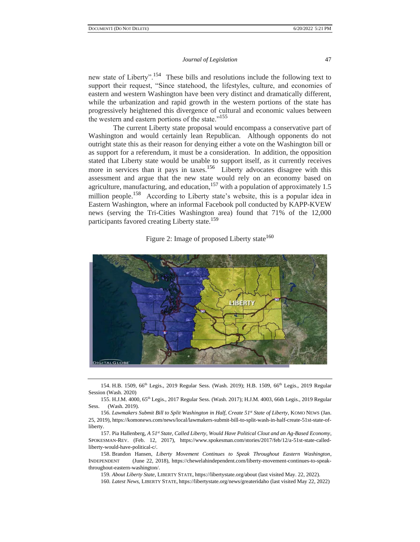new state of Liberty".<sup>154</sup> These bills and resolutions include the following text to support their request, "Since statehood, the lifestyles, culture, and economies of eastern and western Washington have been very distinct and dramatically different, while the urbanization and rapid growth in the western portions of the state has progressively heightened this divergence of cultural and economic values between the western and eastern portions of the state."<sup>155</sup>

The current Liberty state proposal would encompass a conservative part of Washington and would certainly lean Republican. Although opponents do not outright state this as their reason for denying either a vote on the Washington bill or as support for a referendum, it must be a consideration. In addition, the opposition stated that Liberty state would be unable to support itself, as it currently receives more in services than it pays in taxes.<sup>156</sup> Liberty advocates disagree with this assessment and argue that the new state would rely on an economy based on agriculture, manufacturing, and education,  $157$  with a population of approximately 1.5 million people.<sup>158</sup> According to Liberty state's website, this is a popular idea in Eastern Washington, where an informal Facebook poll conducted by KAPP-KVEW news (serving the Tri-Cities Washington area) found that 71% of the 12,000 participants favored creating Liberty state.<sup>159</sup>

# Figure 2: Image of proposed Liberty state<sup>160</sup>



154. H.B. 1509, 66<sup>th</sup> Legis., 2019 Regular Sess. (Wash. 2019); H.B. 1509, 66<sup>th</sup> Legis., 2019 Regular Session (Wash. 2020)

155. H.J.M. 4000, 65th Legis., 2017 Regular Sess. (Wash. 2017); H.J.M. 4003, 66th Legis., 2019 Regular Sess. (Wash. 2019).

156*. Lawmakers Submit Bill to Split Washington in Half, Create 51st State of Liberty*, KOMO NEWS (Jan. 25, 2019), https://komonews.com/news/local/lawmakers-submit-bill-to-split-wash-in-half-create-51st-state-ofliberty.

157. Pia Hallenberg, *A 51st State, Called Liberty, Would Have Political Clout and an Ag-Based Economy*, SPOKESMAN-REV. (Feb. 12, 2017), https://www.spokesman.com/stories/2017/feb/12/a-51st-state-calledliberty-would-have-political-c/.

158. Brandon Hansen, *Liberty Movement Continues to Speak Throughout Eastern Washington*, INDEPENDENT (June 22, 2018), [https://chewelahindependent.com/liberty-movement-continues-to-speak](https://chewelahindependent.com/liberty-movement-continues-to-speak-throughout-eastern-washington/)[throughout-eastern-washington/.](https://chewelahindependent.com/liberty-movement-continues-to-speak-throughout-eastern-washington/)

159*. About Liberty State*, LIBERTY STATE, https://libertystate.org/about (last visited May. 22, 2022).

160*. Latest News,* LIBERTY STATE, <https://libertystate.org/news/greateridaho> (last visited May 22, 2022)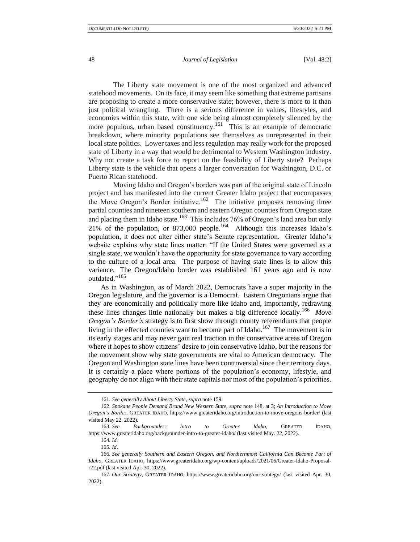The Liberty state movement is one of the most organized and advanced statehood movements. On its face, it may seem like something that extreme partisans are proposing to create a more conservative state; however, there is more to it than just political wrangling. There is a serious difference in values, lifestyles, and economies within this state, with one side being almost completely silenced by the more populous, urban based constituency.<sup>161</sup> This is an example of democratic breakdown, where minority populations see themselves as unrepresented in their local state politics. Lower taxes and less regulation may really work for the proposed state of Liberty in a way that would be detrimental to Western Washington industry. Why not create a task force to report on the feasibility of Liberty state? Perhaps Liberty state is the vehicle that opens a larger conversation for Washington, D.C. or Puerto Rican statehood.

Moving Idaho and Oregon's borders was part of the original state of Lincoln project and has manifested into the current Greater Idaho project that encompasses the Move Oregon's Border initiative.<sup>162</sup> The initiative proposes removing three partial counties and nineteen southern and eastern Oregon counties from Oregon state and placing them in Idaho state.<sup>163</sup> This includes 76% of Oregon's land area but only 21% of the population, or  $873,000$  people.<sup>164</sup> Although this increases Idaho's population, it does not alter either state's Senate representation. Greater Idaho's website explains why state lines matter: "If the United States were governed as a single state, we wouldn't have the opportunity for state governance to vary according to the culture of a local area. The purpose of having state lines is to allow this variance. The Oregon/Idaho border was established 161 years ago and is now outdated."<sup>165</sup>

As in Washington, as of March 2022, Democrats have a super majority in the Oregon legislature, and the governor is a Democrat. Eastern Oregonians argue that they are economically and politically more like Idaho and, importantly, redrawing these lines changes little nationally but makes a big difference locally.<sup>166</sup> *Move Oregon's Border's* strategy is to first show through county referendums that people living in the effected counties want to become part of Idaho.<sup>167</sup> The movement is in its early stages and may never gain real traction in the conservative areas of Oregon where it hopes to show citizens' desire to join conservative Idaho, but the reasons for the movement show why state governments are vital to American democracy. The Oregon and Washington state lines have been controversial since their territory days. It is certainly a place where portions of the population's economy, lifestyle, and geography do not align with their state capitals nor most of the population's priorities.

<sup>161.</sup> *See generally About Liberty State*, *supra* note 159.

<sup>162.</sup> *Spokane People Demand Brand New Western State*, *supra* note 148, at 3; *An Introduction to Move Oregon's Borde*r, GREATER IDAHO, <https://www.greateridaho.org/introduction-to-move-oregons-border/> (last visited May 22, 2022).

<sup>163.</sup> *See Backgrounder: Intro to Greater Idaho*, GREATER IDAHO, https://www.greateridaho.org/backgrounder-intro-to-greater-idaho/ (last visited May. 22, 2022).

<sup>164</sup>*. Id.*

<sup>165</sup>*. Id*.

<sup>166</sup>*. See generally Southern and Eastern Oregon, and Northernmost California Can Become Part of Idaho*, GREATER IDAHO, https://www.greateridaho.org/wp-content/uploads/2021/06/Greater-Idaho-Proposalr22.pdf (last visited Apr. 30, 2022).

<sup>167</sup>*. Our Strategy*, GREATER IDAHO, https://www.greateridaho.org/our-strategy/ (last visited Apr. 30, 2022).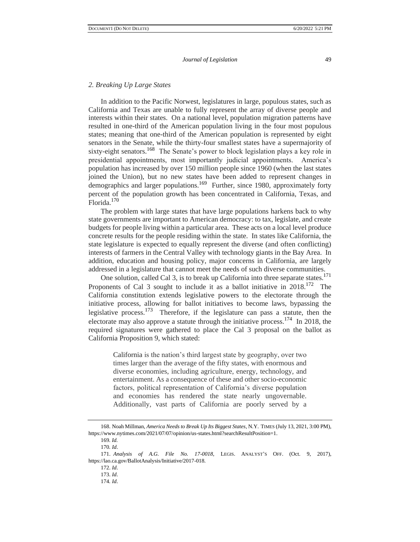#### *2. Breaking Up Large States*

In addition to the Pacific Norwest, legislatures in large, populous states, such as California and Texas are unable to fully represent the array of diverse people and interests within their states. On a national level, population migration patterns have resulted in one-third of the American population living in the four most populous states; meaning that one-third of the American population is represented by eight senators in the Senate, while the thirty-four smallest states have a supermajority of sixty-eight senators.<sup>168</sup> The Senate's power to block legislation plays a key role in presidential appointments, most importantly judicial appointments. America's population has increased by over 150 million people since 1960 (when the last states joined the Union), but no new states have been added to represent changes in demographics and larger populations.<sup>169</sup> Further, since 1980, approximately forty percent of the population growth has been concentrated in California, Texas, and Florida.<sup>170</sup>

The problem with large states that have large populations harkens back to why state governments are important to American democracy: to tax, legislate, and create budgets for people living within a particular area. These acts on a local level produce concrete results for the people residing within the state. In states like California, the state legislature is expected to equally represent the diverse (and often conflicting) interests of farmers in the Central Valley with technology giants in the Bay Area. In addition, education and housing policy, major concerns in California, are largely addressed in a legislature that cannot meet the needs of such diverse communities.

One solution, called Cal 3, is to break up California into three separate states.<sup>171</sup> Proponents of Cal 3 sought to include it as a ballot initiative in  $2018$ <sup>172</sup>. The California constitution extends legislative powers to the electorate through the initiative process, allowing for ballot initiatives to become laws, bypassing the legislative process.<sup>173</sup> Therefore, if the legislature can pass a statute, then the electorate may also approve a statute through the initiative process.<sup>174</sup> In 2018, the required signatures were gathered to place the Cal 3 proposal on the ballot as California Proposition 9, which stated:

> California is the nation's third largest state by geography, over two times larger than the average of the fifty states, with enormous and diverse economies, including agriculture, energy, technology, and entertainment. As a consequence of these and other socio-economic factors, political representation of California's diverse population and economies has rendered the state nearly ungovernable. Additionally, vast parts of California are poorly served by a

<sup>168.</sup> Noah Millman, *America Needs to Break Up Its Biggest States*, N.Y. TIMES (July 13, 2021, 3:00 PM), https://www.nytimes.com/2021/07/07/opinion/us-states.html?searchResultPosition=1.

<sup>169</sup>*. Id.*

<sup>170</sup>*. Id*.

<sup>171.</sup> *Analysis of A.G. File No. 17-0018*, LEGIS. ANALYST'S OFF. (Oct. 9, 2017), [https://lao.ca.gov/BallotAnalysis/Initiative/2017-018.](https://lao.ca.gov/BallotAnalysis/Initiative/2017-018)

<sup>172.</sup> *Id*.

<sup>173.</sup> *Id*.

<sup>174</sup>*. Id*.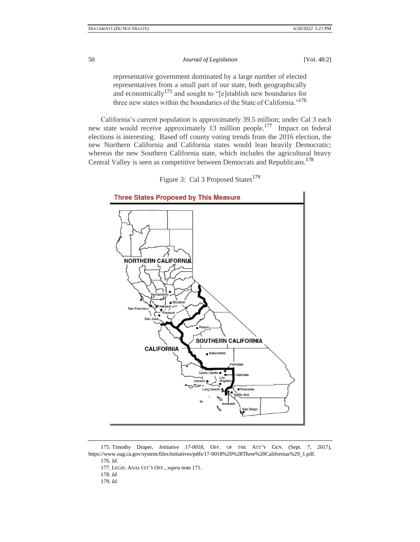representative government dominated by a large number of elected representatives from a small part of our state, both geographically and economically<sup>175</sup> and sought to " $[e]$ stablish new boundaries for three new states within the boundaries of the State of California."<sup>176</sup>

California's current population is approximately 39.5 million; under Cal 3 each new state would receive approximately 13 million people.<sup>177</sup> Impact on federal elections is interesting. Based off county voting trends from the 2016 election, the new Northern California and California states would lean heavily Democratic; whereas the new Southern California state, which includes the agricultural heavy Central Valley is seen as competitive between Democrats and Republicans.<sup>178</sup>





<sup>175.</sup> Timothy Draper, *Initiative 17-0018*, OFF. OF THE ATT'Y GEN. (Sept. 7, 2017), [https://www.oag.ca.gov/system/files/initiatives/pdfs/17-0018%20%28Three%20Californias%29\\_1.pdf.](https://www.oag.ca.gov/system/files/initiatives/pdfs/17-0018%20%28Three%20Californias%29_1.pdf) 

176*. Id*.

177. LEGIS. ANALYST'S OFF., *supra* note 171.

178*. Id.* 

179. *Id*.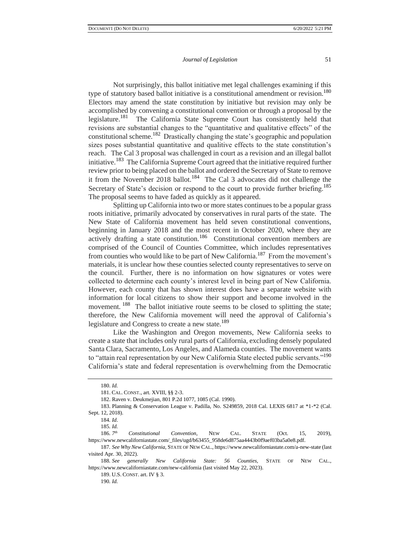Not surprisingly, this ballot initiative met legal challenges examining if this type of statutory based ballot initiative is a constitutional amendment or revision.<sup>180</sup> Electors may amend the state constitution by initiative but revision may only be accomplished by convening a constitutional convention or through a proposal by the legislature.<sup>181</sup> The California State Supreme Court has consistently held that revisions are substantial changes to the "quantitative and qualitative effects" of the constitutional scheme.<sup>182</sup> Drastically changing the state's geographic and population sizes poses substantial quantitative and qualitive effects to the state constitution's reach. The Cal 3 proposal was challenged in court as a revision and an illegal ballot initiative.<sup>183</sup> The California Supreme Court agreed that the initiative required further review prior to being placed on the ballot and ordered the Secretary of State to remove it from the November 2018 ballot.<sup>184</sup> The Cal 3 advocates did not challenge the Secretary of State's decision or respond to the court to provide further briefing.<sup>185</sup> The proposal seems to have faded as quickly as it appeared.

Splitting up California into two or more states continues to be a popular grass roots initiative, primarily advocated by conservatives in rural parts of the state. The New State of California movement has held seven constitutional conventions, beginning in January 2018 and the most recent in October 2020, where they are actively drafting a state constitution.<sup>186</sup> Constitutional convention members are comprised of the Council of Counties Committee, which includes representatives from counties who would like to be part of New California.<sup>187</sup> From the movement's materials, it is unclear how these counties selected county representatives to serve on the council. Further, there is no information on how signatures or votes were collected to determine each county's interest level in being part of New California. However, each county that has shown interest does have a separate website with information for local citizens to show their support and become involved in the movement. <sup>188</sup> The ballot initiative route seems to be closed to splitting the state; therefore, the New California movement will need the approval of California's legislature and Congress to create a new state.<sup>189</sup>

Like the Washington and Oregon movements, New California seeks to create a state that includes only rural parts of California, excluding densely populated Santa Clara, Sacramento, Los Angeles, and Alameda counties. The movement wants to "attain real representation by our New California State elected public servants."<sup>190</sup> California's state and federal representation is overwhelming from the Democratic

189. U.S. CONST. art. IV § 3.

<sup>180.</sup> *Id.*

<sup>181.</sup> CAL. CONST., art. XVIII, §§ 2-3.

<sup>182.</sup> Raven v. Deukmejian*,* 801 P.2d 1077, 1085 (Cal. 1990).

<sup>183.</sup> Planning & Conservation League v. Padilla, No. S249859, 2018 Cal. LEXIS 6817 at \*1-\*2 (Cal. Sept. 12, 2018).

<sup>184</sup>*. Id*.

<sup>185</sup>*. Id.* 

<sup>186</sup>*. 7 th Constitutional Convention*, NEW CAL. STATE (Oct. 15, 2019), https://www.newcaliforniastate.com/\_files/ugd/b63455\_958de6d875aa4443b0f9aef03ba5a0e8.pdf.

<sup>187</sup>*. See Why New California*, STATE OF NEW CAL.[, https://www.newcaliforniastate.com/a-new-state](https://www.newcaliforniastate.com/a-new-state) (last visited Apr. 30, 2022).

<sup>188</sup>*. See generally New California State: 56 Counties,* STATE OF NEW CAL., https://www.newcaliforniastate.com/new-california (last visited May 22, 2023).

<sup>190</sup>*. Id.*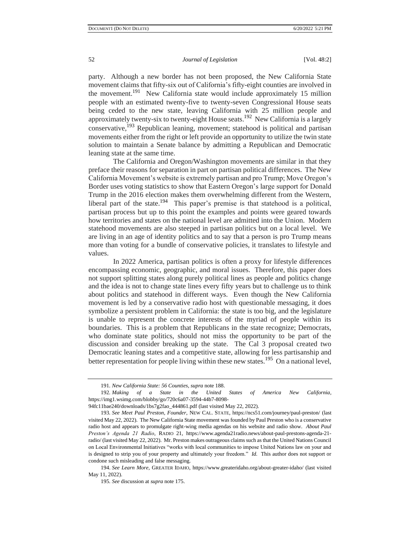party. Although a new border has not been proposed, the New California State movement claims that fifty-six out of California's fifty-eight counties are involved in the movement.<sup>191</sup> New California state would include approximately 15 million people with an estimated twenty-five to twenty-seven Congressional House seats being ceded to the new state, leaving California with 25 million people and approximately twenty-six to twenty-eight House seats.<sup>192</sup> New California is a largely conservative, $193$  Republican leaning, movement; statehood is political and partisan movements either from the right or left provide an opportunity to utilize the twin state solution to maintain a Senate balance by admitting a Republican and Democratic leaning state at the same time.

The California and Oregon/Washington movements are similar in that they preface their reasons for separation in part on partisan political differences. The New California Movement's website is extremely partisan and pro Trump; Move Oregon's Border uses voting statistics to show that Eastern Oregon's large support for Donald Trump in the 2016 election makes them overwhelming different from the Western, liberal part of the state.<sup>194</sup> This paper's premise is that statehood is a political, partisan process but up to this point the examples and points were geared towards how territories and states on the national level are admitted into the Union. Modern statehood movements are also steeped in partisan politics but on a local level. We are living in an age of identity politics and to say that a person is pro Trump means more than voting for a bundle of conservative policies, it translates to lifestyle and values.

In 2022 America, partisan politics is often a proxy for lifestyle differences encompassing economic, geographic, and moral issues. Therefore, this paper does not support splitting states along purely political lines as people and politics change and the idea is not to change state lines every fifty years but to challenge us to think about politics and statehood in different ways. Even though the New California movement is led by a conservative radio host with questionable messaging, it does symbolize a persistent problem in California: the state is too big, and the legislature is unable to represent the concrete interests of the myriad of people within its boundaries. This is a problem that Republicans in the state recognize; Democrats, who dominate state politics, should not miss the opportunity to be part of the discussion and consider breaking up the state. The Cal 3 proposal created two Democratic leaning states and a competitive state, allowing for less partisanship and better representation for people living within these new states.<sup>195</sup> On a national level,

<sup>191</sup>*. New California State: 56 Counties*, *supra* note 188.

<sup>192</sup>*. Making of a State in the United States of America New California,* [https://img1.wsimg.com/blobby/go/720c6a07-3594-44b7-8098-](https://img1.wsimg.com/blobby/go/720c6a07-3594-44b7-8098-94fc11bae240/downloads/1bs7g2fao_444861.pdf)

[<sup>94</sup>fc11bae240/downloads/1bs7g2fao\\_444861.pdf](https://img1.wsimg.com/blobby/go/720c6a07-3594-44b7-8098-94fc11bae240/downloads/1bs7g2fao_444861.pdf) (last visited May 22, 2022).

<sup>193</sup>*. See Meet Paul Preston, Founder*, NEW CAL. STATE[, https://ncs51.com/journey/paul-preston/](https://ncs51.com/journey/paul-preston/) (last visited May 22, 2022). The New California State movement was founded by Paul Preston who is a conservative radio host and appears to promulgate right-wing media agendas on his website and radio show. *About Paul Preston's Agenda 21 Radio*, RADIO 21, [https://www.agenda21radio.news/about-paul-prestons-agenda-21](https://www.agenda21radio.news/about-paul-prestons-agenda-21-radio/) [radio/](https://www.agenda21radio.news/about-paul-prestons-agenda-21-radio/) (last visited May 22, 2022). Mr. Preston makes outrageous claims such as that the United Nations Council on Local Environmental Initiatives "works with local communities to impose United Nations law on your and is designed to strip you of your property and ultimately your freedom." *Id.* This author does not support or condone such misleading and false messaging.

<sup>194.</sup> *See Learn More*, GREATER IDAHO, https://www.greateridaho.org/about-greater-idaho/ (last visited May 11, 2022).

<sup>195</sup>*. See* discussion at *supra* note 175.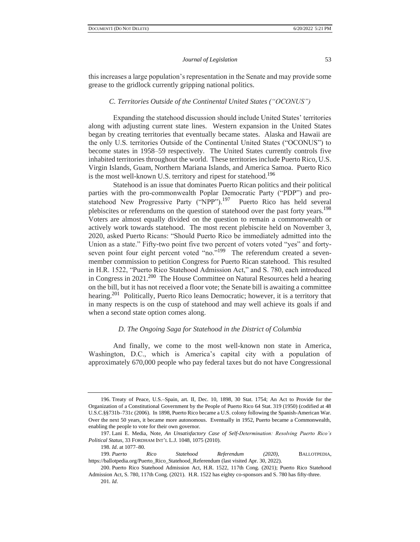this increases a large population's representation in the Senate and may provide some grease to the gridlock currently gripping national politics.

### *C. Territories Outside of the Continental United States ("OCONUS")*

Expanding the statehood discussion should include United States' territories along with adjusting current state lines. Western expansion in the United States began by creating territories that eventually became states. Alaska and Hawaii are the only U.S. territories Outside of the Continental United States ("OCONUS") to become states in 1958–59 respectively. The United States currently controls five inhabited territories throughout the world. These territories include Puerto Rico, U.S. Virgin Islands, Guam, Northern Mariana Islands, and America Samoa. Puerto Rico is the most well-known U.S. territory and ripest for statehood.<sup>196</sup>

Statehood is an issue that dominates Puerto Rican politics and their political parties with the pro-commonwealth Poplar Democratic Party ("PDP") and prostatehood New Progressive Party ("NPP").<sup>197</sup> Puerto Rico has held several plebiscites or referendums on the question of statehood over the past forty years.<sup>198</sup> Voters are almost equally divided on the question to remain a commonwealth or actively work towards statehood. The most recent plebiscite held on November 3, 2020, asked Puerto Ricans: "Should Puerto Rico be immediately admitted into the Union as a state." Fifty-two point five two percent of voters voted "yes" and fortyseven point four eight percent voted "no."<sup>199</sup> The referendum created a sevenmember commission to petition Congress for Puerto Rican statehood. This resulted in H.R. 1522, "Puerto Rico Statehood Admission Act," and S. 780, each introduced in Congress in  $2021$ <sup>200</sup> The House Committee on Natural Resources held a hearing on the bill, but it has not received a floor vote; the Senate bill is awaiting a committee hearing.<sup>201</sup> Politically, Puerto Rico leans Democratic; however, it is a territory that in many respects is on the cusp of statehood and may well achieve its goals if and when a second state option comes along.

#### *D. The Ongoing Saga for Statehood in the District of Columbia*

And finally, we come to the most well-known non state in America, Washington, D.C., which is America's capital city with a population of approximately 670,000 people who pay federal taxes but do not have Congressional

<sup>196.</sup> Treaty of Peace, U.S.–Spain, art. II, Dec. 10, 1898, 30 Stat. 1754; An Act to Provide for the Organization of a Constitutional Government by the People of Puerto Rico 64 Stat. 319 (1950) (codified at 48 U.S.C.§§731b–731c (2006). In 1898, Puerto Rico became a U.S. colony following the Spanish-American War. Over the next 50 years, it became more autonomous. Eventually in 1952, Puerto became a Commonwealth, enabling the people to vote for their own governor.

<sup>197.</sup> Lani E. Media, Note, *An Unsatisfactory Case of Self-Determination: Resolving Puerto Rico's Political Status*, 33 FORDHAM INT'L L.J. 1048, 1075 (2010).

<sup>198</sup>*. Id*. at 1077–80.

<sup>199</sup>*. Puerto Rico Statehood Referendum (2020)*, BALLOTPEDIA, https://ballotpedia.org/Puerto\_Rico\_Statehood\_Referendum (last visited Apr. 30, 2022).

<sup>200.</sup> Puerto Rico Statehood Admission Act, H.R. 1522, 117th Cong. (2021); Puerto Rico Statehood Admission Act, S. 780, 117th Cong. (2021). H.R. 1522 has eighty co-sponsors and S. 780 has fifty-three. 201*. Id*.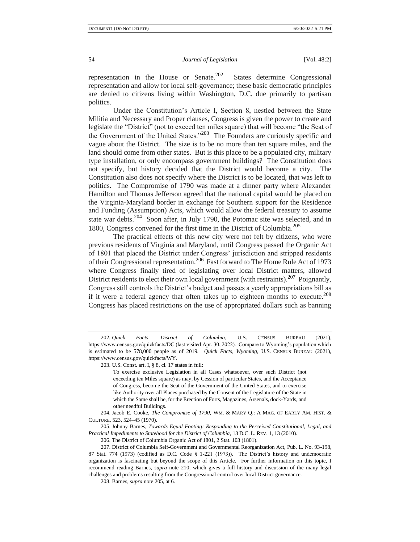representation in the House or Senate.<sup>202</sup> States determine Congressional representation and allow for local self-governance; these basic democratic principles are denied to citizens living within Washington, D.C. due primarily to partisan politics.

Under the Constitution's Article I, Section 8, nestled between the State Militia and Necessary and Proper clauses, Congress is given the power to create and legislate the "District" (not to exceed ten miles square) that will become "the Seat of the Government of the United States."<sup>203</sup> The Founders are curiously specific and vague about the District. The size is to be no more than ten square miles, and the land should come from other states. But is this place to be a populated city, military type installation, or only encompass government buildings? The Constitution does not specify, but history decided that the District would become a city. The Constitution also does not specify where the District is to be located, that was left to politics. The Compromise of 1790 was made at a dinner party where Alexander Hamilton and Thomas Jefferson agreed that the national capital would be placed on the Virginia-Maryland border in exchange for Southern support for the Residence and Funding (Assumption) Acts, which would allow the federal treasury to assume state war debts.<sup>204</sup> Soon after, in July 1790, the Potomac site was selected, and in 1800, Congress convened for the first time in the District of Columbia.<sup>205</sup>

The practical effects of this new city were not felt by citizens, who were previous residents of Virginia and Maryland, until Congress passed the Organic Act of 1801 that placed the District under Congress' jurisdiction and stripped residents of their Congressional representation.<sup>206</sup> Fast forward to The Home Rule Act of 1973 where Congress finally tired of legislating over local District matters, allowed District residents to elect their own local government (with restraints).<sup>207</sup> Poignantly, Congress still controls the District's budget and passes a yearly appropriations bill as if it were a federal agency that often takes up to eighteen months to execute.<sup>208</sup> Congress has placed restrictions on the use of appropriated dollars such as banning

205. Johnny Barnes, *Towards Equal Footing: Responding to the Perceived Constitutional, Legal, and Practical Impediments to Statehood for the District of Columbia*, 13 D.C. L. REV. 1, 13 (2010).

206. The District of Columbia Organic Act of 1801, 2 Stat. 103 (1801).

208. Barnes, *supra* note 205, at 6.

<sup>202</sup>*. Quick Facts, District of Columbia*, U.S. CENSUS BUREAU (2021), https://www.census.gov/quickfacts/DC (last visited Apr. 30, 2022). Compare to Wyoming's population which is estimated to be 578,000 people as of 2019*. Quick Facts, Wyoming*, U.S. CENSUS BUREAU (2021), https://www.census.gov/quickfacts/WY.

<sup>203.</sup> U.S. Const. art. I, § 8, cl. 17 states in full:

To exercise exclusive Legislation in all Cases whatsoever, over such District (not exceeding ten Miles square) as may, by Cession of particular States, and the Acceptance of Congress, become the Seat of the Government of the United States, and to exercise like Authority over all Places purchased by the Consent of the Legislature of the State in which the Same shall be, for the Erection of Forts, Magazines, Arsenals, dock-Yards, and other needful Buildings.

<sup>204.</sup> Jacob E. Cooke, *The Compromise of 1790*, WM. & MARY Q.: A MAG. OF EARLY AM. HIST. & CULTURE, 523, 524–45 (1970).

<sup>207.</sup> District of Columbia Self-Government and Governmental Reorganization Act, Pub. L. No. 93-198, 87 Stat. 774 (1973) (codified as D.C. Code § 1-221 (1973)). The District's history and undemocratic organization is fascinating but beyond the scope of this Article. For further information on this topic, I recommend reading Barnes, *supra* note 210, which gives a full history and discussion of the many legal challenges and problems resulting from the Congressional control over local District governance.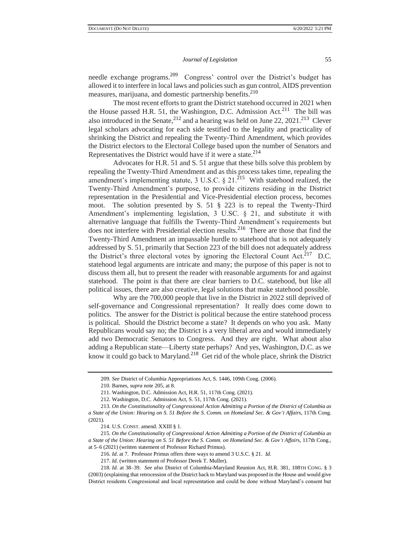needle exchange programs.<sup>209</sup> Congress' control over the District's budget has allowed it to interfere in local laws and policies such as gun control, AIDS prevention measures, marijuana, and domestic partnership benefits.<sup>210</sup>

The most recent efforts to grant the District statehood occurred in 2021 when the House passed H.R. 51, the Washington, D.C. Admission Act.<sup>211</sup> The bill was also introduced in the Senate,  $2^{12}$  and a hearing was held on June 22, 2021.<sup>213</sup> Clever legal scholars advocating for each side testified to the legality and practicality of shrinking the District and repealing the Twenty-Third Amendment, which provides the District electors to the Electoral College based upon the number of Senators and Representatives the District would have if it were a state. $2^{14}$ 

Advocates for H.R. 51 and S. 51 argue that these bills solve this problem by repealing the Twenty-Third Amendment and as this process takes time, repealing the amendment's implementing statute, 3 U.S.C.  $\S 21$ <sup>215</sup> With statehood realized, the Twenty-Third Amendment's purpose, to provide citizens residing in the District representation in the Presidential and Vice-Presidential election process, becomes moot. The solution presented by S. 51 § 223 is to repeal the Twenty-Third Amendment's implementing legislation, 3 U.SC. § 21, and substitute it with alternative language that fulfills the Twenty-Third Amendment's requirements but does not interfere with Presidential election results.<sup>216</sup> There are those that find the Twenty-Third Amendment an impassable hurdle to statehood that is not adequately addressed by S. 51, primarily that Section 223 of the bill does not adequately address the District's three electoral votes by ignoring the Electoral Count Act.<sup>217</sup> D.C. statehood legal arguments are intricate and many; the purpose of this paper is not to discuss them all, but to present the reader with reasonable arguments for and against statehood. The point is that there are clear barriers to D.C. statehood, but like all political issues, there are also creative, legal solutions that make statehood possible.

Why are the 700,000 people that live in the District in 2022 still deprived of self-governance and Congressional representation? It really does come down to politics. The answer for the District is political because the entire statehood process is political. Should the District become a state? It depends on who you ask. Many Republicans would say no; the District is a very liberal area and would immediately add two Democratic Senators to Congress. And they are right. What about also adding a Republican state—Liberty state perhaps? And yes, Washington, D.C. as we know it could go back to Maryland.<sup>218</sup> Get rid of the whole place, shrink the District

<sup>209</sup>*. See* District of Columbia Appropriations Act, S. 1446, 109th Cong. (2006).

<sup>210.</sup> Barnes, *supra* note 205, at 8.

<sup>211.</sup> Washington, D.C. Admission Act, H.R. 51, 117th Cong. (2021).

<sup>212.</sup> Washington, D.C. Admission Act, S. 51, 117th Cong. (2021).

<sup>213.</sup> *On the Constitutionality of Congressional Action Admitting a Portion of the District of Columbia as a State of the Union: Hearing on S. 51 Before the S. Comm. on Homeland Sec. & Gov't Affair*s, 117th Cong. (2021).

<sup>214.</sup> U.S. CONST. amend. XXIII § 1.

<sup>215</sup>*. On the Constitutionality of Congressional Action Admitting a Portion of the District of Columbia as a State of the Union: Hearing on S. 51 Before the S. Comm. on Homeland Sec. & Gov't Affair*s, 117th Cong., at 5–6 (2021) (written statement of Professor Richard Primus).

<sup>216</sup>*. Id*. at 7. Professor Primus offers three ways to amend 3 U.S.C. § 21. *Id.* 

<sup>217.</sup> *Id*. (written statement of Professor Derek T. Muller).

<sup>218</sup>*. Id.* at 38–39. *See also* District of Columbia-Maryland Reunion Act, H.R. 381, 108TH CONG. § 3 (2003) (explaining that retrocession of the District back to Maryland was proposed in the House and would give District residents Congressional and local representation and could be done without Maryland's consent but